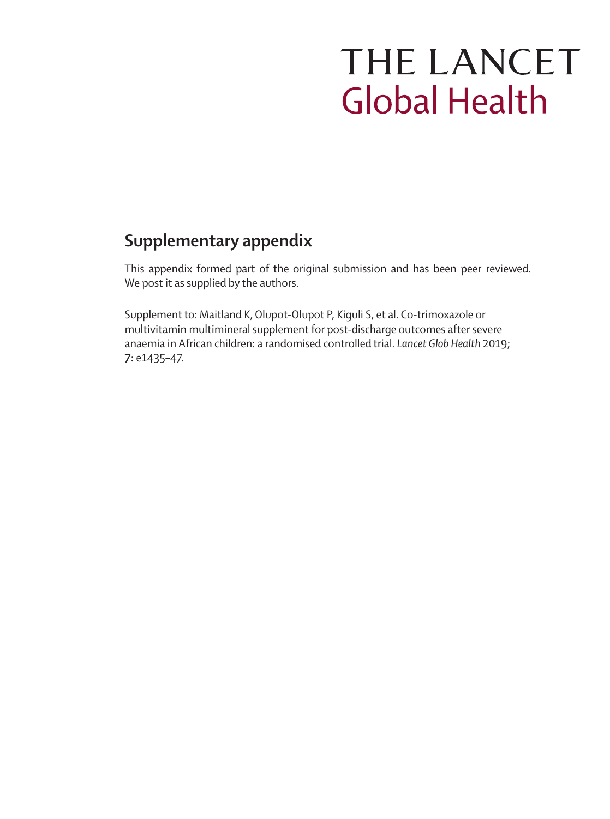# THE LANCET **Global Health**

# **Supplementary appendix**

This appendix formed part of the original submission and has been peer reviewed. We post it as supplied by the authors.

Supplement to: Maitland K, Olupot-Olupot P, Kiguli S, et al. Co-trimoxazole or multivitamin multimineral supplement for post-discharge outcomes after severe anaemia in African children: a randomised controlled trial. *Lancet Glob Health* 2019; **7:** e1435–47.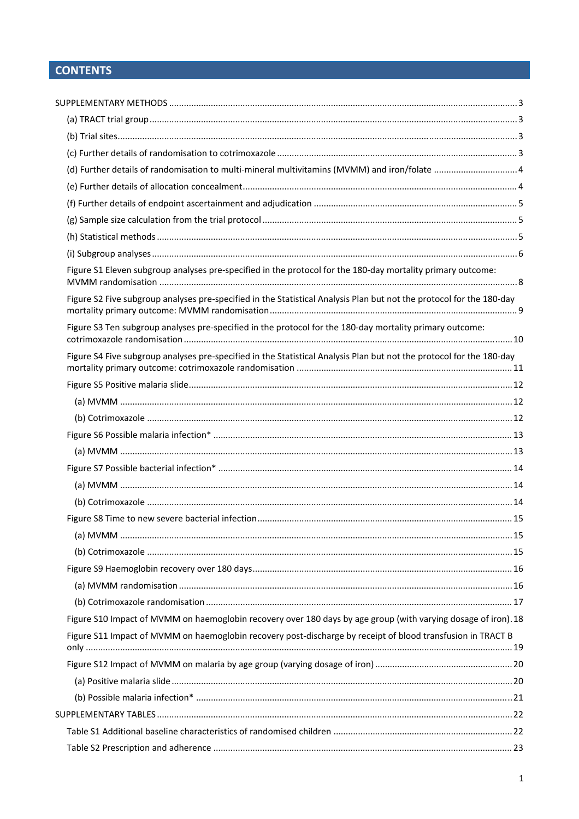# **CONTENTS**

| (d) Further details of randomisation to multi-mineral multivitamins (MVMM) and iron/folate  4                        |  |
|----------------------------------------------------------------------------------------------------------------------|--|
|                                                                                                                      |  |
|                                                                                                                      |  |
|                                                                                                                      |  |
|                                                                                                                      |  |
|                                                                                                                      |  |
| Figure S1 Eleven subgroup analyses pre-specified in the protocol for the 180-day mortality primary outcome:          |  |
| Figure S2 Five subgroup analyses pre-specified in the Statistical Analysis Plan but not the protocol for the 180-day |  |
| Figure S3 Ten subgroup analyses pre-specified in the protocol for the 180-day mortality primary outcome:             |  |
| Figure S4 Five subgroup analyses pre-specified in the Statistical Analysis Plan but not the protocol for the 180-day |  |
|                                                                                                                      |  |
|                                                                                                                      |  |
|                                                                                                                      |  |
|                                                                                                                      |  |
|                                                                                                                      |  |
|                                                                                                                      |  |
|                                                                                                                      |  |
|                                                                                                                      |  |
|                                                                                                                      |  |
|                                                                                                                      |  |
|                                                                                                                      |  |
|                                                                                                                      |  |
|                                                                                                                      |  |
|                                                                                                                      |  |
| Figure S10 Impact of MVMM on haemoglobin recovery over 180 days by age group (with varying dosage of iron). 18       |  |
| Figure S11 Impact of MVMM on haemoglobin recovery post-discharge by receipt of blood transfusion in TRACT B          |  |
|                                                                                                                      |  |
|                                                                                                                      |  |
|                                                                                                                      |  |
|                                                                                                                      |  |
|                                                                                                                      |  |
|                                                                                                                      |  |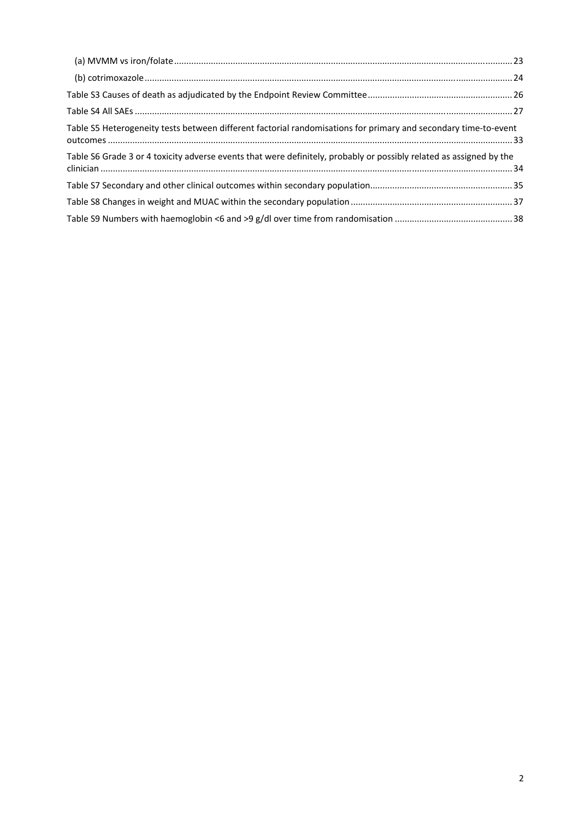| Table S5 Heterogeneity tests between different factorial randomisations for primary and secondary time-to-event     |
|---------------------------------------------------------------------------------------------------------------------|
| Table S6 Grade 3 or 4 toxicity adverse events that were definitely, probably or possibly related as assigned by the |
|                                                                                                                     |
|                                                                                                                     |
|                                                                                                                     |
|                                                                                                                     |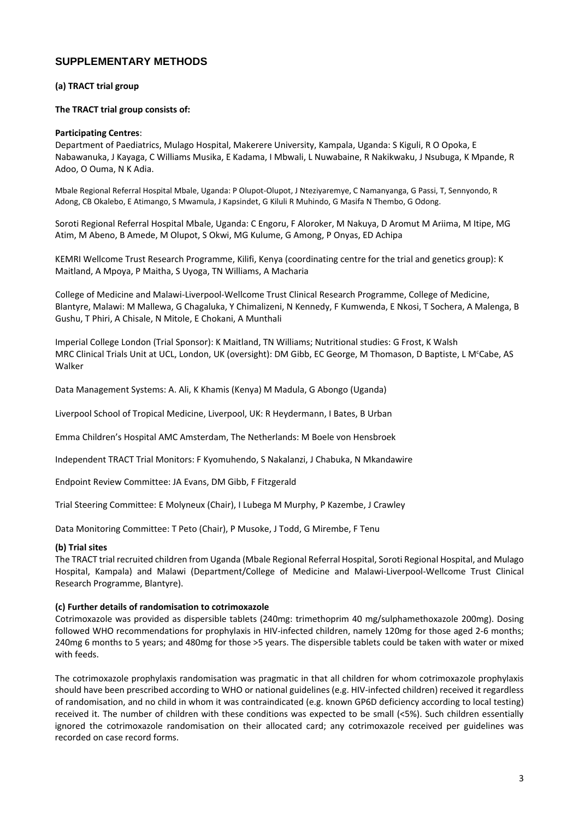# **SUPPLEMENTARY METHODS**

#### **(a) TRACT trial group**

#### **The TRACT trial group consists of:**

#### **Participating Centres**:

Department of Paediatrics, Mulago Hospital, Makerere University, Kampala, Uganda: S Kiguli, R O Opoka, E Nabawanuka, J Kayaga, C Williams Musika, E Kadama, I Mbwali, L Nuwabaine, R Nakikwaku, J Nsubuga, K Mpande, R Adoo, O Ouma, N K Adia.

Mbale Regional Referral Hospital Mbale, Uganda: P Olupot‐Olupot, J Nteziyaremye, C Namanyanga, G Passi, T, Sennyondo, R Adong, CB Okalebo, E Atimango, S Mwamula, J Kapsindet, G Kiluli R Muhindo, G Masifa N Thembo, G Odong.

Soroti Regional Referral Hospital Mbale, Uganda: C Engoru, F Aloroker, M Nakuya, D Aromut M Ariima, M Itipe, MG Atim, M Abeno, B Amede, M Olupot, S Okwi, MG Kulume, G Among, P Onyas, ED Achipa

KEMRI Wellcome Trust Research Programme, Kilifi, Kenya (coordinating centre for the trial and genetics group): K Maitland, A Mpoya, P Maitha, S Uyoga, TN Williams, A Macharia

College of Medicine and Malawi‐Liverpool‐Wellcome Trust Clinical Research Programme, College of Medicine, Blantyre, Malawi: M Mallewa, G Chagaluka, Y Chimalizeni, N Kennedy, F Kumwenda, E Nkosi, T Sochera, A Malenga, B Gushu, T Phiri, A Chisale, N Mitole, E Chokani, A Munthali

Imperial College London (Trial Sponsor): K Maitland, TN Williams; Nutritional studies: G Frost, K Walsh MRC Clinical Trials Unit at UCL, London, UK (oversight): DM Gibb, EC George, M Thomason, D Baptiste, L M<sup>c</sup>Cabe, AS Walker

Data Management Systems: A. Ali, K Khamis (Kenya) M Madula, G Abongo (Uganda)

Liverpool School of Tropical Medicine, Liverpool, UK: R Heydermann, I Bates, B Urban

Emma Children's Hospital AMC Amsterdam, The Netherlands: M Boele von Hensbroek

Independent TRACT Trial Monitors: F Kyomuhendo, S Nakalanzi, J Chabuka, N Mkandawire

Endpoint Review Committee: JA Evans, DM Gibb, F Fitzgerald

Trial Steering Committee: E Molyneux (Chair), I Lubega M Murphy, P Kazembe, J Crawley

Data Monitoring Committee: T Peto (Chair), P Musoke, J Todd, G Mirembe, F Tenu

#### **(b) Trial sites**

The TRACT trial recruited children from Uganda (Mbale Regional Referral Hospital, Soroti Regional Hospital, and Mulago Hospital, Kampala) and Malawi (Department/College of Medicine and Malawi‐Liverpool‐Wellcome Trust Clinical Research Programme, Blantyre).

#### **(c) Further details of randomisation to cotrimoxazole**

Cotrimoxazole was provided as dispersible tablets (240mg: trimethoprim 40 mg/sulphamethoxazole 200mg). Dosing followed WHO recommendations for prophylaxis in HIV-infected children, namely 120mg for those aged 2-6 months; 240mg 6 months to 5 years; and 480mg for those >5 years. The dispersible tablets could be taken with water or mixed with feeds.

The cotrimoxazole prophylaxis randomisation was pragmatic in that all children for whom cotrimoxazole prophylaxis should have been prescribed according to WHO or national guidelines (e.g. HIV-infected children) received it regardless of randomisation, and no child in whom it was contraindicated (e.g. known GP6D deficiency according to local testing) received it. The number of children with these conditions was expected to be small (<5%). Such children essentially ignored the cotrimoxazole randomisation on their allocated card; any cotrimoxazole received per guidelines was recorded on case record forms.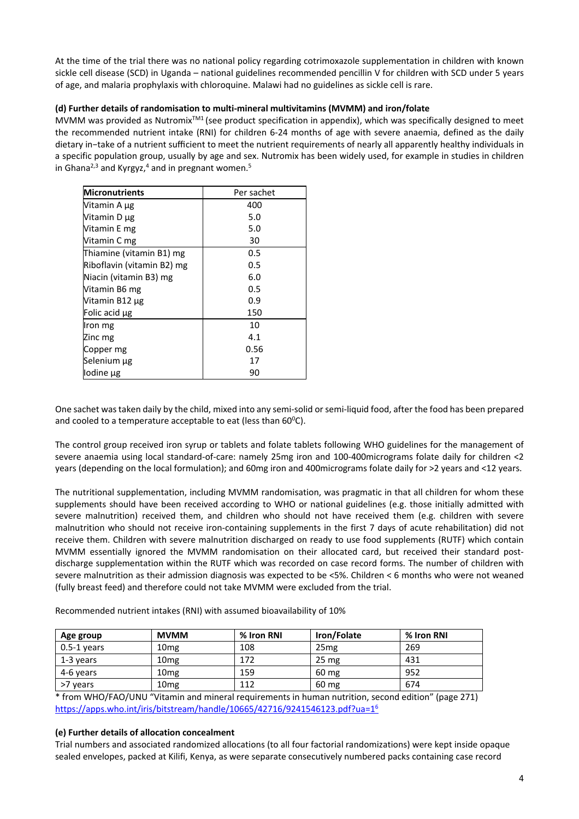At the time of the trial there was no national policy regarding cotrimoxazole supplementation in children with known sickle cell disease (SCD) in Uganda – national guidelines recommended pencillin V for children with SCD under 5 years of age, and malaria prophylaxis with chloroquine. Malawi had no guidelines as sickle cell is rare.

#### **(d) Further details of randomisation to multi‐mineral multivitamins (MVMM) and iron/folate**

MVMM was provided as Nutromix<sup>™1</sup> (see product specification in appendix), which was specifically designed to meet the recommended nutrient intake (RNI) for children 6‐24 months of age with severe anaemia, defined as the daily dietary in−take of a nutrient sufficient to meet the nutrient requirements of nearly all apparently healthy individuals in a specific population group, usually by age and sex. Nutromix has been widely used, for example in studies in children in Ghana<sup>2,3</sup> and Kyrgyz,<sup>4</sup> and in pregnant women.<sup>5</sup>

| <b>Micronutrients</b>      | Per sachet |
|----------------------------|------------|
| Vitamin A µg               | 400        |
| Vitamin D µg               | 5.0        |
| Vitamin E mg               | 5.0        |
| Vitamin C mg               | 30         |
| Thiamine (vitamin B1) mg   | 0.5        |
| Riboflavin (vitamin B2) mg | 0.5        |
| Niacin (vitamin B3) mg     | 6.0        |
| Vitamin B6 mg              | 0.5        |
| Vitamin B12 µg             | 0.9        |
| Folic acid µg              | 150        |
| Iron mg                    | 10         |
| Zinc mg                    | 4.1        |
| Copper mg                  | 0.56       |
| Selenium µg                | 17         |
| lodine µg                  | 90         |

One sachet was taken daily by the child, mixed into any semi‐solid or semi‐liquid food, after the food has been prepared and cooled to a temperature acceptable to eat (less than 60 $^{\text{o}}$ C).

The control group received iron syrup or tablets and folate tablets following WHO guidelines for the management of severe anaemia using local standard-of-care: namely 25mg iron and 100-400micrograms folate daily for children <2 years (depending on the local formulation); and 60mg iron and 400micrograms folate daily for >2 years and <12 years.

The nutritional supplementation, including MVMM randomisation, was pragmatic in that all children for whom these supplements should have been received according to WHO or national guidelines (e.g. those initially admitted with severe malnutrition) received them, and children who should not have received them (e.g. children with severe malnutrition who should not receive iron-containing supplements in the first 7 days of acute rehabilitation) did not receive them. Children with severe malnutrition discharged on ready to use food supplements (RUTF) which contain MVMM essentially ignored the MVMM randomisation on their allocated card, but received their standard postdischarge supplementation within the RUTF which was recorded on case record forms. The number of children with severe malnutrition as their admission diagnosis was expected to be <5%. Children < 6 months who were not weaned (fully breast feed) and therefore could not take MVMM were excluded from the trial.

| Age group     | <b>MVMM</b>      | % Iron RNI | Iron/Folate      | % Iron RNI |
|---------------|------------------|------------|------------------|------------|
| $0.5-1$ years | 10 <sub>mg</sub> | 108        | 25mg             | 269        |
| 1-3 years     | 10 <sub>mg</sub> | 172        | 25 <sub>mg</sub> | 431        |
| 4-6 years     | 10 <sub>mg</sub> | 159        | 60 mg            | 952        |
| >7 years      | 10 <sub>mg</sub> | 112        | 60 mg            | 674        |

Recommended nutrient intakes (RNI) with assumed bioavailability of 10%

\* from WHO/FAO/UNU "Vitamin and mineral requirements in human nutrition, second edition" (page 271) https://apps.who.int/iris/bitstream/handle/10665/42716/9241546123.pdf?ua=16

#### **(e) Further details of allocation concealment**

Trial numbers and associated randomized allocations (to all four factorial randomizations) were kept inside opaque sealed envelopes, packed at Kilifi, Kenya, as were separate consecutively numbered packs containing case record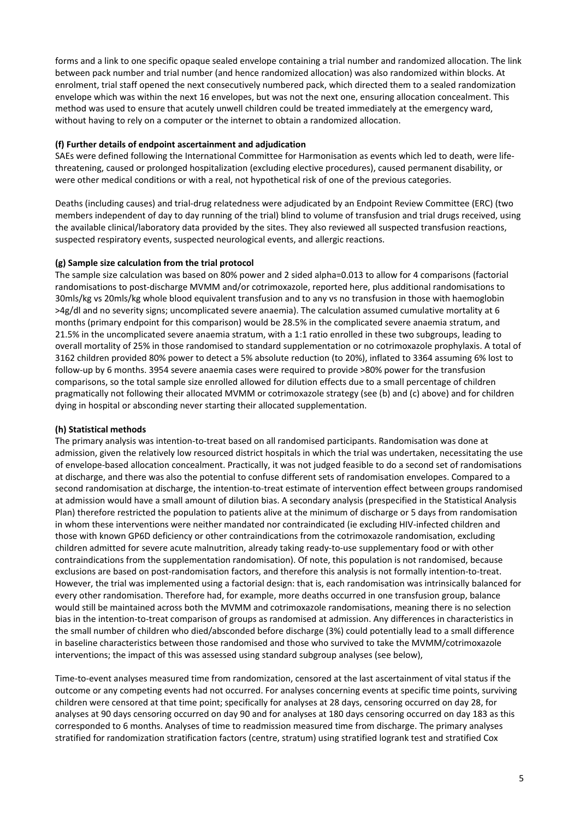forms and a link to one specific opaque sealed envelope containing a trial number and randomized allocation. The link between pack number and trial number (and hence randomized allocation) was also randomized within blocks. At enrolment, trial staff opened the next consecutively numbered pack, which directed them to a sealed randomization envelope which was within the next 16 envelopes, but was not the next one, ensuring allocation concealment. This method was used to ensure that acutely unwell children could be treated immediately at the emergency ward, without having to rely on a computer or the internet to obtain a randomized allocation.

#### **(f) Further details of endpoint ascertainment and adjudication**

SAEs were defined following the International Committee for Harmonisation as events which led to death, were life‐ threatening, caused or prolonged hospitalization (excluding elective procedures), caused permanent disability, or were other medical conditions or with a real, not hypothetical risk of one of the previous categories.

Deaths (including causes) and trial‐drug relatedness were adjudicated by an Endpoint Review Committee (ERC) (two members independent of day to day running of the trial) blind to volume of transfusion and trial drugs received, using the available clinical/laboratory data provided by the sites. They also reviewed all suspected transfusion reactions, suspected respiratory events, suspected neurological events, and allergic reactions.

## **(g) Sample size calculation from the trial protocol**

The sample size calculation was based on 80% power and 2 sided alpha=0.013 to allow for 4 comparisons (factorial randomisations to post‐discharge MVMM and/or cotrimoxazole, reported here, plus additional randomisations to 30mls/kg vs 20mls/kg whole blood equivalent transfusion and to any vs no transfusion in those with haemoglobin >4g/dl and no severity signs; uncomplicated severe anaemia). The calculation assumed cumulative mortality at 6 months (primary endpoint for this comparison) would be 28.5% in the complicated severe anaemia stratum, and 21.5% in the uncomplicated severe anaemia stratum, with a 1:1 ratio enrolled in these two subgroups, leading to overall mortality of 25% in those randomised to standard supplementation or no cotrimoxazole prophylaxis. A total of 3162 children provided 80% power to detect a 5% absolute reduction (to 20%), inflated to 3364 assuming 6% lost to follow‐up by 6 months. 3954 severe anaemia cases were required to provide >80% power for the transfusion comparisons, so the total sample size enrolled allowed for dilution effects due to a small percentage of children pragmatically not following their allocated MVMM or cotrimoxazole strategy (see (b) and (c) above) and for children dying in hospital or absconding never starting their allocated supplementation.

## **(h) Statistical methods**

The primary analysis was intention‐to‐treat based on all randomised participants. Randomisation was done at admission, given the relatively low resourced district hospitals in which the trial was undertaken, necessitating the use of envelope‐based allocation concealment. Practically, it was not judged feasible to do a second set of randomisations at discharge, and there was also the potential to confuse different sets of randomisation envelopes. Compared to a second randomisation at discharge, the intention-to-treat estimate of intervention effect between groups randomised at admission would have a small amount of dilution bias. A secondary analysis (prespecified in the Statistical Analysis Plan) therefore restricted the population to patients alive at the minimum of discharge or 5 days from randomisation in whom these interventions were neither mandated nor contraindicated (ie excluding HIV‐infected children and those with known GP6D deficiency or other contraindications from the cotrimoxazole randomisation, excluding children admitted for severe acute malnutrition, already taking ready‐to‐use supplementary food or with other contraindications from the supplementation randomisation). Of note, this population is not randomised, because exclusions are based on post-randomisation factors, and therefore this analysis is not formally intention-to-treat. However, the trial was implemented using a factorial design: that is, each randomisation was intrinsically balanced for every other randomisation. Therefore had, for example, more deaths occurred in one transfusion group, balance would still be maintained across both the MVMM and cotrimoxazole randomisations, meaning there is no selection bias in the intention-to-treat comparison of groups as randomised at admission. Any differences in characteristics in the small number of children who died/absconded before discharge (3%) could potentially lead to a small difference in baseline characteristics between those randomised and those who survived to take the MVMM/cotrimoxazole interventions; the impact of this was assessed using standard subgroup analyses (see below),

Time-to-event analyses measured time from randomization, censored at the last ascertainment of vital status if the outcome or any competing events had not occurred. For analyses concerning events at specific time points, surviving children were censored at that time point; specifically for analyses at 28 days, censoring occurred on day 28, for analyses at 90 days censoring occurred on day 90 and for analyses at 180 days censoring occurred on day 183 as this corresponded to 6 months. Analyses of time to readmission measured time from discharge. The primary analyses stratified for randomization stratification factors (centre, stratum) using stratified logrank test and stratified Cox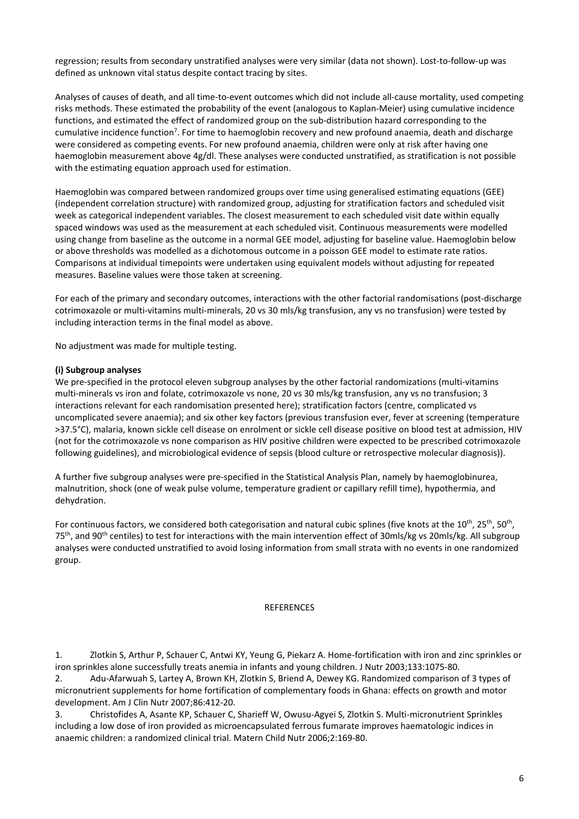regression; results from secondary unstratified analyses were very similar (data not shown). Lost-to-follow-up was defined as unknown vital status despite contact tracing by sites.

Analyses of causes of death, and all time‐to‐event outcomes which did not include all‐cause mortality, used competing risks methods. These estimated the probability of the event (analogous to Kaplan‐Meier) using cumulative incidence functions, and estimated the effect of randomized group on the sub‐distribution hazard corresponding to the cumulative incidence function<sup>7</sup>. For time to haemoglobin recovery and new profound anaemia, death and discharge were considered as competing events. For new profound anaemia, children were only at risk after having one haemoglobin measurement above 4g/dl. These analyses were conducted unstratified, as stratification is not possible with the estimating equation approach used for estimation.

Haemoglobin was compared between randomized groups over time using generalised estimating equations (GEE) (independent correlation structure) with randomized group, adjusting for stratification factors and scheduled visit week as categorical independent variables. The closest measurement to each scheduled visit date within equally spaced windows was used as the measurement at each scheduled visit. Continuous measurements were modelled using change from baseline as the outcome in a normal GEE model, adjusting for baseline value. Haemoglobin below or above thresholds was modelled as a dichotomous outcome in a poisson GEE model to estimate rate ratios. Comparisons at individual timepoints were undertaken using equivalent models without adjusting for repeated measures. Baseline values were those taken at screening.

For each of the primary and secondary outcomes, interactions with the other factorial randomisations (post-discharge cotrimoxazole or multi‐vitamins multi‐minerals, 20 vs 30 mls/kg transfusion, any vs no transfusion) were tested by including interaction terms in the final model as above.

No adjustment was made for multiple testing.

#### **(i) Subgroup analyses**

We pre-specified in the protocol eleven subgroup analyses by the other factorial randomizations (multi-vitamins multi-minerals vs iron and folate, cotrimoxazole vs none, 20 vs 30 mls/kg transfusion, any vs no transfusion; 3 interactions relevant for each randomisation presented here); stratification factors (centre, complicated vs uncomplicated severe anaemia); and six other key factors (previous transfusion ever, fever at screening (temperature >37.5°C), malaria, known sickle cell disease on enrolment or sickle cell disease positive on blood test at admission, HIV (not for the cotrimoxazole vs none comparison as HIV positive children were expected to be prescribed cotrimoxazole following guidelines), and microbiological evidence of sepsis (blood culture or retrospective molecular diagnosis)).

A further five subgroup analyses were pre‐specified in the Statistical Analysis Plan, namely by haemoglobinurea, malnutrition, shock (one of weak pulse volume, temperature gradient or capillary refill time), hypothermia, and dehydration.

For continuous factors, we considered both categorisation and natural cubic splines (five knots at the  $10^{th}$ ,  $25^{th}$ ,  $50^{th}$ ,  $75<sup>th</sup>$ , and  $90<sup>th</sup>$  centiles) to test for interactions with the main intervention effect of 30mls/kg vs 20mls/kg. All subgroup analyses were conducted unstratified to avoid losing information from small strata with no events in one randomized group.

#### **REFERENCES**

1. Zlotkin S, Arthur P, Schauer C, Antwi KY, Yeung G, Piekarz A. Home‐fortification with iron and zinc sprinkles or iron sprinkles alone successfully treats anemia in infants and young children. J Nutr 2003;133:1075‐80.

2. Adu-Afarwuah S, Lartey A, Brown KH, Zlotkin S, Briend A, Dewey KG. Randomized comparison of 3 types of micronutrient supplements for home fortification of complementary foods in Ghana: effects on growth and motor development. Am J Clin Nutr 2007;86:412‐20.

3. Christofides A, Asante KP, Schauer C, Sharieff W, Owusu‐Agyei S, Zlotkin S. Multi‐micronutrient Sprinkles including a low dose of iron provided as microencapsulated ferrous fumarate improves haematologic indices in anaemic children: a randomized clinical trial. Matern Child Nutr 2006;2:169‐80.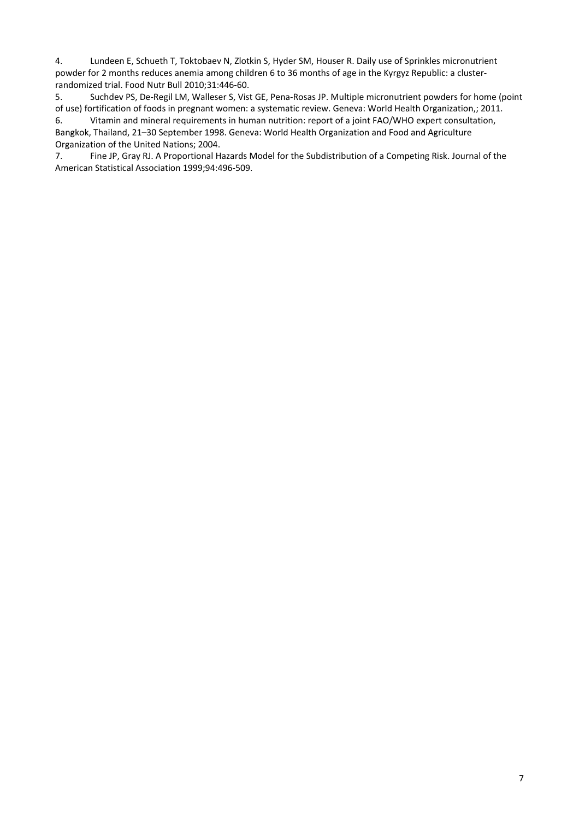4. Lundeen E, Schueth T, Toktobaev N, Zlotkin S, Hyder SM, Houser R. Daily use of Sprinkles micronutrient powder for 2 months reduces anemia among children 6 to 36 months of age in the Kyrgyz Republic: a cluster‐ randomized trial. Food Nutr Bull 2010;31:446‐60.

5. Suchdev PS, De‐Regil LM, Walleser S, Vist GE, Pena‐Rosas JP. Multiple micronutrient powders for home (point of use) fortification of foods in pregnant women: a systematic review. Geneva: World Health Organization,; 2011.

6. Vitamin and mineral requirements in human nutrition: report of a joint FAO/WHO expert consultation, Bangkok, Thailand, 21–30 September 1998. Geneva: World Health Organization and Food and Agriculture Organization of the United Nations; 2004.

7. Fine JP, Gray RJ. A Proportional Hazards Model for the Subdistribution of a Competing Risk. Journal of the American Statistical Association 1999;94:496‐509.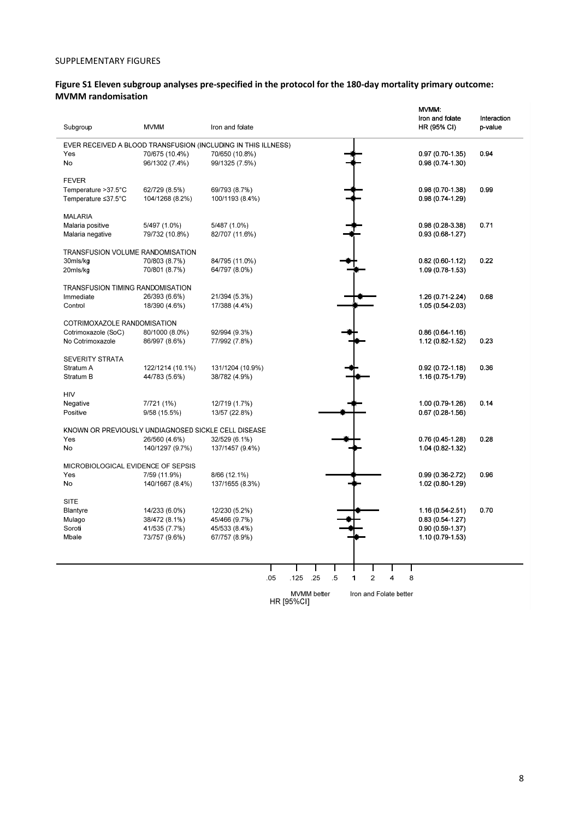#### SUPPLEMENTARY FIGURES

# Figure S1 Eleven subgroup analyses pre-specified in the protocol for the 180-day mortality primary outcome: **MVMM randomisation**

|                                                               |                                 |                                |     |                   |                    |        |                        |                |                | MVMM:                                 |                        |
|---------------------------------------------------------------|---------------------------------|--------------------------------|-----|-------------------|--------------------|--------|------------------------|----------------|----------------|---------------------------------------|------------------------|
| Subgroup                                                      | <b>MVMM</b>                     | Iron and folate                |     |                   |                    |        |                        |                |                | Iron and folate<br>HR (95% CI)        | Interaction<br>p-value |
| EVER RECEIVED A BLOOD TRANSFUSION (INCLUDING IN THIS ILLNESS) |                                 |                                |     |                   |                    |        |                        |                |                |                                       |                        |
| Yes                                                           | 70/675 (10.4%)                  | 70/650 (10.8%)                 |     |                   |                    |        |                        |                |                | 0.97 (0.70-1.35)                      | 0.94                   |
| No                                                            | 96/1302 (7.4%)                  | 99/1325 (7.5%)                 |     |                   |                    |        |                        |                |                | 0.98 (0.74-1.30)                      |                        |
|                                                               |                                 |                                |     |                   |                    |        |                        |                |                |                                       |                        |
| <b>FEVER</b>                                                  |                                 |                                |     |                   |                    |        |                        |                |                |                                       |                        |
| Temperature > 37.5°C                                          | 62/729 (8.5%)                   | 69/793 (8.7%)                  |     |                   |                    |        |                        |                |                | 0.98 (0.70-1.38)                      | 0.99                   |
| Temperature ≤37.5°C                                           | 104/1268 (8.2%)                 | 100/1193 (8.4%)                |     |                   |                    |        |                        |                |                | 0.98 (0.74-1.29)                      |                        |
|                                                               |                                 |                                |     |                   |                    |        |                        |                |                |                                       |                        |
| <b>MALARIA</b>                                                |                                 |                                |     |                   |                    |        |                        |                |                |                                       |                        |
| Malaria positive                                              | 5/497 (1.0%)                    | 5/487 (1.0%)                   |     |                   |                    |        |                        |                |                | 0.98 (0.28-3.38)                      | 0.71                   |
| Malaria negative                                              | 79/732 (10.8%)                  | 82/707 (11.6%)                 |     |                   |                    |        |                        |                |                | 0.93 (0.68-1.27)                      |                        |
| TRANSFUSION VOLUME RANDOMISATION                              |                                 |                                |     |                   |                    |        |                        |                |                |                                       |                        |
| 30mls/kg                                                      | 70/803 (8.7%)                   | 84/795 (11.0%)                 |     |                   |                    |        |                        |                |                | 0.82 (0.60-1.12)                      | 0.22                   |
| 20mls/kg                                                      | 70/801 (8.7%)                   | 64/797 (8.0%)                  |     |                   |                    |        |                        |                |                | 1.09 (0.78-1.53)                      |                        |
|                                                               |                                 |                                |     |                   |                    |        |                        |                |                |                                       |                        |
| TRANSFUSION TIMING RANDOMISATION                              |                                 |                                |     |                   |                    |        |                        |                |                |                                       |                        |
| Immediate                                                     | 26/393 (6.6%)                   | 21/394 (5.3%)                  |     |                   |                    |        |                        |                |                | 1.26 (0.71-2.24)                      | 0.68                   |
| Control                                                       | 18/390 (4.6%)                   | 17/388 (4.4%)                  |     |                   |                    |        |                        |                |                | 1.05 (0.54-2.03)                      |                        |
|                                                               |                                 |                                |     |                   |                    |        |                        |                |                |                                       |                        |
| COTRIMOXAZOLE RANDOMISATION                                   |                                 |                                |     |                   |                    |        |                        |                |                |                                       |                        |
| Cotrimoxazole (SoC)<br>No Cotrimoxazole                       | 80/1000 (8.0%)<br>86/997 (8.6%) | 92/994 (9.3%)<br>77/992 (7.8%) |     |                   |                    |        |                        |                |                | $0.86(0.64-1.16)$<br>1.12 (0.82-1.52) | 0.23                   |
|                                                               |                                 |                                |     |                   |                    |        |                        |                |                |                                       |                        |
| SEVERITY STRATA                                               |                                 |                                |     |                   |                    |        |                        |                |                |                                       |                        |
| Stratum A                                                     | 122/1214 (10.1%)                | 131/1204 (10.9%)               |     |                   |                    |        |                        |                |                | 0.92 (0.72-1.18)                      | 0.36                   |
| Stratum B                                                     | 44/783 (5.6%)                   | 38/782 (4.9%)                  |     |                   |                    |        |                        |                |                | 1.16 (0.75-1.79)                      |                        |
|                                                               |                                 |                                |     |                   |                    |        |                        |                |                |                                       |                        |
| <b>HIV</b>                                                    |                                 |                                |     |                   |                    |        |                        |                |                |                                       |                        |
| Negative                                                      | 7/721 (1%)                      | 12/719 (1.7%)                  |     |                   |                    |        |                        |                |                | 1.00 (0.79-1.26)                      | 0.14                   |
| Positive                                                      | 9/58 (15.5%)                    | 13/57 (22.8%)                  |     |                   |                    |        |                        |                |                | 0.67 (0.28-1.56)                      |                        |
| KNOWN OR PREVIOUSLY UNDIAGNOSED SICKLE CELL DISEASE           |                                 |                                |     |                   |                    |        |                        |                |                |                                       |                        |
| Yes                                                           | 26/560 (4.6%)                   | 32/529 (6.1%)                  |     |                   |                    |        |                        |                |                | 0.76 (0.45-1.28)                      | 0.28                   |
| No                                                            | 140/1297 (9.7%)                 | 137/1457 (9.4%)                |     |                   |                    |        |                        |                |                | 1.04 (0.82-1.32)                      |                        |
|                                                               |                                 |                                |     |                   |                    |        |                        |                |                |                                       |                        |
| MICROBIOLOGICAL EVIDENCE OF SEPSIS                            |                                 |                                |     |                   |                    |        |                        |                |                |                                       |                        |
| Yes                                                           | 7/59 (11.9%)                    | 8/66 (12.1%)                   |     |                   |                    |        |                        |                |                | 0.99 (0.36-2.72)                      | 0.96                   |
| No                                                            | 140/1667 (8.4%)                 | 137/1655 (8.3%)                |     |                   |                    |        |                        |                |                | 1.02 (0.80-1.29)                      |                        |
|                                                               |                                 |                                |     |                   |                    |        |                        |                |                |                                       |                        |
| <b>SITE</b>                                                   |                                 |                                |     |                   |                    |        |                        |                |                |                                       |                        |
| Blantyre                                                      | 14/233 (6.0%)                   | 12/230 (5.2%)                  |     |                   |                    |        |                        |                |                | 1.16 (0.54-2.51)                      | 0.70                   |
| Mulago                                                        | 38/472 (8.1%)                   | 45/466 (9.7%)                  |     |                   |                    |        |                        |                |                | $0.83(0.54-1.27)$                     |                        |
| Soroti                                                        | 41/535 (7.7%)                   | 45/533 (8.4%)                  |     |                   |                    |        |                        |                |                | 0.90 (0.59-1.37)                      |                        |
| Mbale                                                         | 73/757 (9.6%)                   | 67/757 (8.9%)                  |     |                   |                    |        |                        |                |                | 1.10 (0.79-1.53)                      |                        |
|                                                               |                                 |                                |     |                   |                    |        |                        |                |                |                                       |                        |
|                                                               |                                 |                                | L   |                   |                    |        |                        |                |                |                                       |                        |
|                                                               |                                 |                                | .05 | .125              | .25                | $.5\,$ | $\blacksquare$         | $\overline{2}$ | $\overline{4}$ | 8                                     |                        |
|                                                               |                                 |                                |     |                   |                    |        |                        |                |                |                                       |                        |
|                                                               |                                 |                                |     |                   | <b>MVMM</b> better |        | Iron and Folate better |                |                |                                       |                        |
|                                                               |                                 |                                |     | <b>HR [95%CI]</b> |                    |        |                        |                |                |                                       |                        |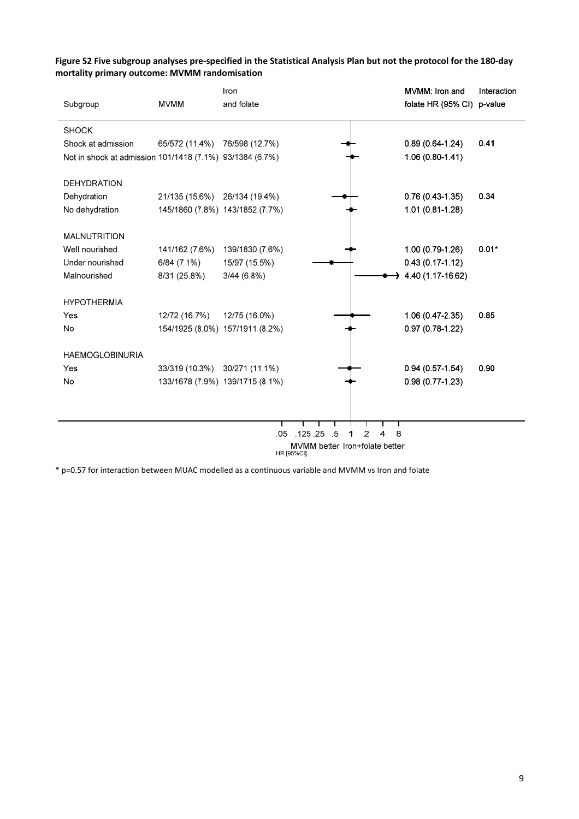# Figure S2 Five subgroup analyses pre-specified in the Statistical Analysis Plan but not the protocol for the 180-day **mortality primary outcome: MVMM randomisation**

|                                                          |                               | Iron                            |                                              |        | MVMM: Iron and             | Interaction |
|----------------------------------------------------------|-------------------------------|---------------------------------|----------------------------------------------|--------|----------------------------|-------------|
| Subgroup                                                 | <b>MVMM</b>                   | and folate                      |                                              |        | folate HR (95% CI) p-value |             |
| <b>SHOCK</b>                                             |                               |                                 |                                              |        |                            |             |
| Shock at admission                                       | 65/572 (11.4%)                | 76/598 (12.7%)                  |                                              |        | $0.89(0.64-1.24)$          | 0.41        |
| Not in shock at admission 101/1418 (7.1%) 93/1384 (6.7%) |                               |                                 |                                              |        | $1.06(0.80-1.41)$          |             |
| <b>DEHYDRATION</b>                                       |                               |                                 |                                              |        |                            |             |
| Dehydration                                              | 21/135 (15.6%)                | 26/134 (19.4%)                  |                                              |        | $0.76(0.43-1.35)$          | 0.34        |
| No dehydration                                           |                               | 145/1860 (7.8%) 143/1852 (7.7%) |                                              |        | 1.01 (0.81-1.28)           |             |
| <b>MALNUTRITION</b>                                      |                               |                                 |                                              |        |                            |             |
| Well nourished                                           | 141/162 (7.6%)                | 139/1830 (7.6%)                 |                                              |        | 1.00 (0.79-1.26)           | $0.01*$     |
| Under nourished                                          | $6/84(7.1\%)$                 | 15/97 (15.5%)                   |                                              |        | $0.43(0.17 - 1.12)$        |             |
| Malnourished                                             | 8/31 (25.8%)                  | $3/44(6.8\%)$                   |                                              |        | 4.40 (1.17-16.62)          |             |
| <b>HYPOTHERMIA</b>                                       |                               |                                 |                                              |        |                            |             |
| Yes                                                      | 12/72 (16.7%)                 | 12/75 (16.0%)                   |                                              |        | 1.06 (0.47-2.35)           | 0.85        |
| No                                                       |                               | 154/1925 (8.0%) 157/1911 (8.2%) |                                              |        | $0.97(0.78-1.22)$          |             |
| <b>HAEMOGLOBINURIA</b>                                   |                               |                                 |                                              |        |                            |             |
| Yes                                                      | 33/319 (10.3%) 30/271 (11.1%) |                                 |                                              |        | $0.94(0.57-1.54)$          | 0.90        |
| No                                                       |                               | 133/1678 (7.9%) 139/1715 (8.1%) |                                              |        | $0.98(0.77-1.23)$          |             |
|                                                          |                               |                                 |                                              |        |                            |             |
|                                                          |                               |                                 |                                              |        |                            |             |
|                                                          |                               | 05                              | 125 25<br>-5                                 | 8<br>2 |                            |             |
|                                                          |                               |                                 | MVMM better Iron+folate better<br>HR [95%CI] |        |                            |             |

\* p=0.57 for interaction between MUAC modelled as a continuous variable and MVMM vs Iron and folate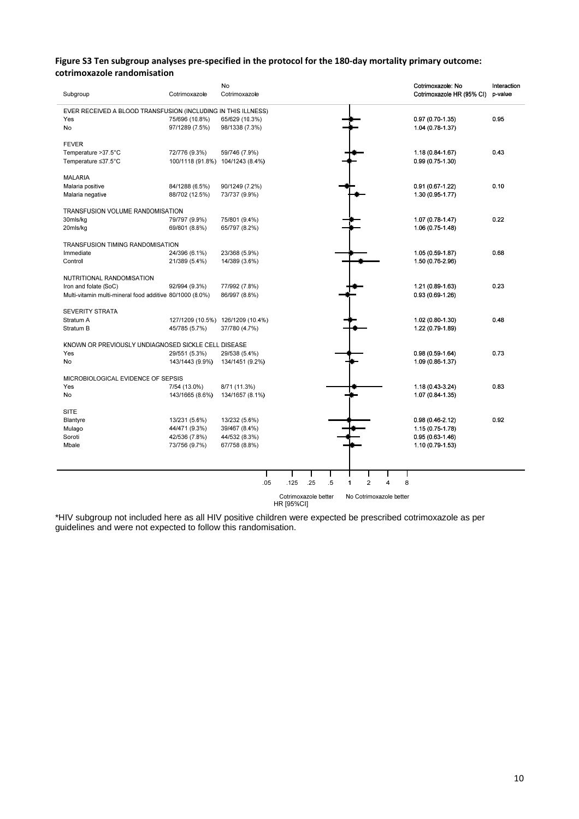#### Figure S3 Ten subgroup analyses pre-specified in the protocol for the 180-day mortality primary outcome: **cotrimoxazole randomisation**

| Subgroup                                                      | Cotrimoxazole    | No<br>Cotrimoxazole |     |                                    |     |        |   |                         |                         |   | Cotrimoxazole: No<br>Cotrimoxazole HR (95% CI) | Interaction<br>p-value |
|---------------------------------------------------------------|------------------|---------------------|-----|------------------------------------|-----|--------|---|-------------------------|-------------------------|---|------------------------------------------------|------------------------|
| EVER RECEIVED A BLOOD TRANSFUSION (INCLUDING IN THIS ILLNESS) |                  |                     |     |                                    |     |        |   |                         |                         |   |                                                |                        |
| Yes                                                           | 75/696 (10.8%)   | 65/629 (10.3%)      |     |                                    |     |        |   |                         |                         |   | $0.97(0.70-1.35)$                              | 0.95                   |
| No                                                            | 97/1289 (7.5%)   | 98/1338 (7.3%)      |     |                                    |     |        |   |                         |                         |   | 1.04 (0.78-1.37)                               |                        |
| <b>FEVER</b>                                                  |                  |                     |     |                                    |     |        |   |                         |                         |   |                                                |                        |
| Temperature > 37.5°C                                          | 72/776 (9.3%)    | 59/746 (7.9%)       |     |                                    |     |        |   |                         |                         |   | $1.18(0.84 - 1.67)$                            | 0.43                   |
| Temperature ≤37.5°C                                           | 100/1118 (91.8%) | 104/1243 (8.4%)     |     |                                    |     |        |   |                         |                         |   | $0.99(0.75-1.30)$                              |                        |
| <b>MALARIA</b>                                                |                  |                     |     |                                    |     |        |   |                         |                         |   |                                                |                        |
| Malaria positive                                              | 84/1288 (6.5%)   | 90/1249 (7.2%)      |     |                                    |     |        |   |                         |                         |   | 0.91 (0.67-1.22)                               | 0.10                   |
| Malaria negative                                              | 88/702 (12.5%)   | 73/737 (9.9%)       |     |                                    |     |        |   |                         |                         |   | 1.30 (0.95-1.77)                               |                        |
| TRANSFUSION VOLUME RANDOMISATION                              |                  |                     |     |                                    |     |        |   |                         |                         |   |                                                |                        |
| 30mls/kg                                                      | 79/797 (9.9%)    | 75/801 (9.4%)       |     |                                    |     |        |   |                         |                         |   | 1.07 (0.78-1.47)                               | 0.22                   |
| 20mls/kg                                                      | 69/801 (8.6%)    | 65/797 (8.2%)       |     |                                    |     |        |   |                         |                         |   | $1.06(0.75-1.48)$                              |                        |
| TRANSFUSION TIMING RANDOMISATION                              |                  |                     |     |                                    |     |        |   |                         |                         |   |                                                |                        |
| Immediate                                                     | 24/396 (6.1%)    | 23/368 (5.9%)       |     |                                    |     |        |   |                         |                         |   | 1.05 (0.59-1.87)                               | 0.68                   |
| Control                                                       | 21/389 (5.4%)    | 14/389 (3.6%)       |     |                                    |     |        |   |                         |                         |   | 1.50 (0.76-2.96)                               |                        |
| NUTRITIONAL RANDOMISATION                                     |                  |                     |     |                                    |     |        |   |                         |                         |   |                                                |                        |
| Iron and folate (SoC)                                         | 92/994 (9.3%)    | 77/992 (7.8%)       |     |                                    |     |        |   |                         |                         |   | 1.21 (0.89-1.63)                               | 0.23                   |
| Multi-vitamin multi-mineral food additive 80/1000 (8.0%)      |                  | 86/997 (8.6%)       |     |                                    |     |        |   |                         |                         |   | $0.93(0.69-1.26)$                              |                        |
| <b>SEVERITY STRATA</b>                                        |                  |                     |     |                                    |     |        |   |                         |                         |   |                                                |                        |
| Stratum A                                                     | 127/1209 (10.5%) | 126/1209 (10.4%)    |     |                                    |     |        |   |                         |                         |   | 1.02 (0.80-1.30)                               | 0.48                   |
| Stratum B                                                     | 45/785 (5.7%)    | 37/780 (4.7%)       |     |                                    |     |        |   |                         |                         |   | 1.22 (0.79-1.89)                               |                        |
| KNOWN OR PREVIOUSLY UNDIAGNOSED SICKLE CELL DISEASE           |                  |                     |     |                                    |     |        |   |                         |                         |   |                                                |                        |
| Yes                                                           | 29/551 (5.3%)    | 29/538 (5.4%)       |     |                                    |     |        |   |                         |                         |   | $0.98(0.59-1.64)$                              | 0.73                   |
| No                                                            | 143/1443 (9.9%)  | 134/1451 (9.2%)     |     |                                    |     |        |   |                         |                         |   | 1.09 (0.86-1.37)                               |                        |
| MICROBIOLOGICAL EVIDENCE OF SEPSIS                            |                  |                     |     |                                    |     |        |   |                         |                         |   |                                                |                        |
| Yes                                                           | 7/54 (13.0%)     | 8/71 (11.3%)        |     |                                    |     |        |   |                         |                         |   | 1.18 (0.43-3.24)                               | 0.83                   |
| No                                                            | 143/1665 (8.6%)  | 134/1657 (8.1%)     |     |                                    |     |        |   |                         |                         |   | 1.07 (0.84-1.35)                               |                        |
| <b>SITE</b>                                                   |                  |                     |     |                                    |     |        |   |                         |                         |   |                                                |                        |
| Blantyre                                                      | 13/231 (5.6%)    | 13/232 (5.6%)       |     |                                    |     |        |   |                         |                         |   | $0.98(0.46-2.12)$                              | 0.92                   |
| Mulago                                                        | 44/471 (9.3%)    | 39/467 (8.4%)       |     |                                    |     |        |   |                         |                         |   | 1.15 (0.75-1.78)                               |                        |
| Soroti                                                        | 42/536 (7.8%)    | 44/532 (8.3%)       |     |                                    |     |        |   |                         |                         |   | $0.95(0.63 - 1.46)$                            |                        |
| Mbale                                                         | 73/756 (9.7%)    | 67/758 (8.8%)       |     |                                    |     |        |   |                         |                         |   | 1.10 (0.79-1.53)                               |                        |
|                                                               |                  |                     |     |                                    |     |        |   |                         |                         |   |                                                |                        |
|                                                               |                  |                     |     |                                    |     |        |   |                         |                         |   |                                                |                        |
|                                                               |                  |                     | .05 | .125                               | .25 | $.5\,$ | 1 | $\overline{\mathbf{c}}$ | 4                       | 8 |                                                |                        |
|                                                               |                  |                     |     | Cotrimoxazole better<br>HR [95%CI] |     |        |   |                         | No Cotrimoxazole better |   |                                                |                        |

\*HIV subgroup not included here as all HIV positive children were expected be prescribed cotrimoxazole as per guidelines and were not expected to follow this randomisation.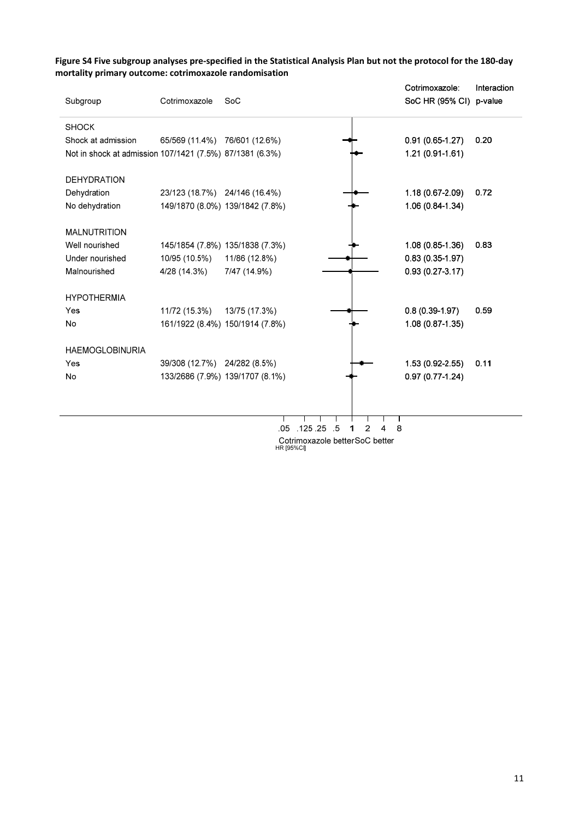|                                                          |                |                                 |            |                                 | Cotrimoxazole:          | Interaction |
|----------------------------------------------------------|----------------|---------------------------------|------------|---------------------------------|-------------------------|-------------|
| Subgroup                                                 | Cotrimoxazole  | SoC                             |            |                                 | SoC HR (95% CI) p-value |             |
| <b>SHOCK</b>                                             |                |                                 |            |                                 |                         |             |
| Shock at admission                                       | 65/569 (11.4%) | 76/601 (12.6%)                  |            |                                 | $0.91(0.65-1.27)$       | 0.20        |
| Not in shock at admission 107/1421 (7.5%) 87/1381 (6.3%) |                |                                 |            |                                 | 1.21 (0.91-1.61)        |             |
| <b>DEHYDRATION</b>                                       |                |                                 |            |                                 |                         |             |
| Dehydration                                              | 23/123 (18.7%) | 24/146 (16.4%)                  |            |                                 | 1.18 (0.67-2.09)        | 0.72        |
| No dehydration                                           |                | 149/1870 (8.0%) 139/1842 (7.8%) |            |                                 | 1.06 (0.84-1.34)        |             |
| <b>MALNUTRITION</b>                                      |                |                                 |            |                                 |                         |             |
| Well nourished                                           |                | 145/1854 (7.8%) 135/1838 (7.3%) |            |                                 | 1.08 (0.85-1.36)        | 0.83        |
| Under nourished                                          | 10/95 (10.5%)  | 11/86 (12.8%)                   |            |                                 | $0.83(0.35-1.97)$       |             |
| Malnourished                                             | 4/28 (14.3%)   | 7/47 (14.9%)                    |            |                                 | $0.93(0.27-3.17)$       |             |
| <b>HYPOTHERMIA</b>                                       |                |                                 |            |                                 |                         |             |
| Yes                                                      | 11/72 (15.3%)  | 13/75 (17.3%)                   |            |                                 | $0.8(0.39-1.97)$        | 0.59        |
| No                                                       |                | 161/1922 (8.4%) 150/1914 (7.8%) |            |                                 | 1.08 (0.87-1.35)        |             |
| <b>HAEMOGLOBINURIA</b>                                   |                |                                 |            |                                 |                         |             |
| Yes                                                      | 39/308 (12.7%) | 24/282 (8.5%)                   |            |                                 | 1.53 (0.92-2.55)        | 0.11        |
| No                                                       |                | 133/2686 (7.9%) 139/1707 (8.1%) |            |                                 | $0.97(0.77-1.24)$       |             |
|                                                          |                |                                 |            |                                 |                         |             |
|                                                          |                | .05                             | .125.25    | -5<br>2                         | 8                       |             |
|                                                          |                |                                 |            | Cotrimoxazole better SoC better |                         |             |
|                                                          |                |                                 | HR [95%CI] |                                 |                         |             |

# Figure S4 Five subgroup analyses pre-specified in the Statistical Analysis Plan but not the protocol for the 180-day **mortality primary outcome: cotrimoxazole randomisation**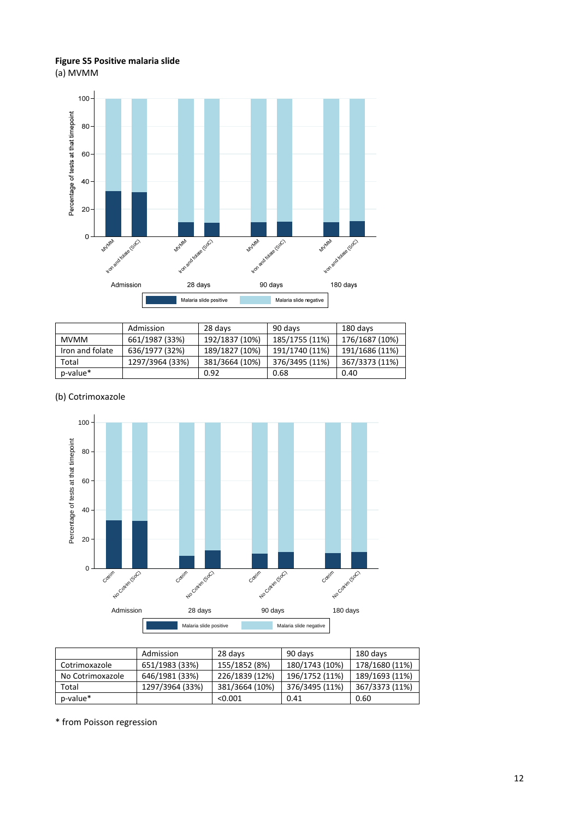# **Figure S5 Positive malaria slide** (a) MVMM



|                 | Admission       | 28 days        | 90 days        | 180 days       |
|-----------------|-----------------|----------------|----------------|----------------|
| <b>MVMM</b>     | 661/1987 (33%)  | 192/1837 (10%) | 185/1755 (11%) | 176/1687 (10%) |
| Iron and folate | 636/1977 (32%)  | 189/1827 (10%) | 191/1740 (11%) | 191/1686 (11%) |
| Total           | 1297/3964 (33%) | 381/3664 (10%) | 376/3495 (11%) | 367/3373 (11%) |
| p-value*        |                 | 0.92           | 0.68           | 0.40           |

# (b) Cotrimoxazole



|                  | Admission       | 28 days        | 90 days        | 180 days       |
|------------------|-----------------|----------------|----------------|----------------|
| Cotrimoxazole    | 651/1983 (33%)  | 155/1852 (8%)  | 180/1743 (10%) | 178/1680 (11%) |
| No Cotrimoxazole | 646/1981 (33%)  | 226/1839 (12%) | 196/1752 (11%) | 189/1693 (11%) |
| Total            | 1297/3964 (33%) | 381/3664 (10%) | 376/3495 (11%) | 367/3373 (11%) |
| p-value*         |                 | < 0.001        | 0.41           | 0.60           |

\* from Poisson regression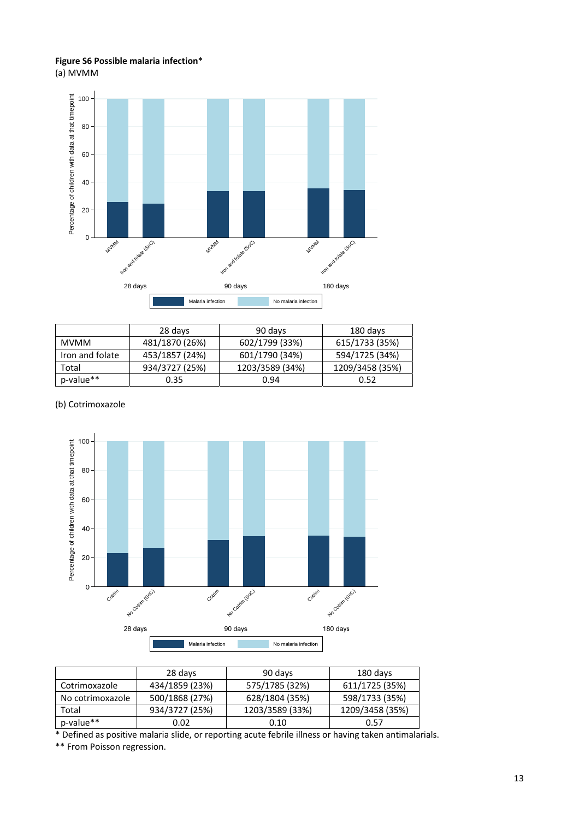# **Figure S6 Possible malaria infection\***

(a) MVMM



|                 | 28 days        | 90 days         | 180 days        |
|-----------------|----------------|-----------------|-----------------|
| <b>MVMM</b>     | 481/1870 (26%) | 602/1799 (33%)  | 615/1733 (35%)  |
| Iron and folate | 453/1857 (24%) | 601/1790 (34%)  | 594/1725 (34%)  |
| Total           | 934/3727 (25%) | 1203/3589 (34%) | 1209/3458 (35%) |
| p-value**       | 0.35           | 0.94            | 0.52            |

## (b) Cotrimoxazole



|                  | 28 days        | 90 days         | 180 days        |
|------------------|----------------|-----------------|-----------------|
| Cotrimoxazole    | 434/1859 (23%) | 575/1785 (32%)  | 611/1725 (35%)  |
| No cotrimoxazole | 500/1868 (27%) | 628/1804 (35%)  | 598/1733 (35%)  |
| Total            | 934/3727 (25%) | 1203/3589 (33%) | 1209/3458 (35%) |
| p-value**        | 0.02           | 0.10            | 0.57            |

\* Defined as positive malaria slide, or reporting acute febrile illness or having taken antimalarials.

\*\* From Poisson regression.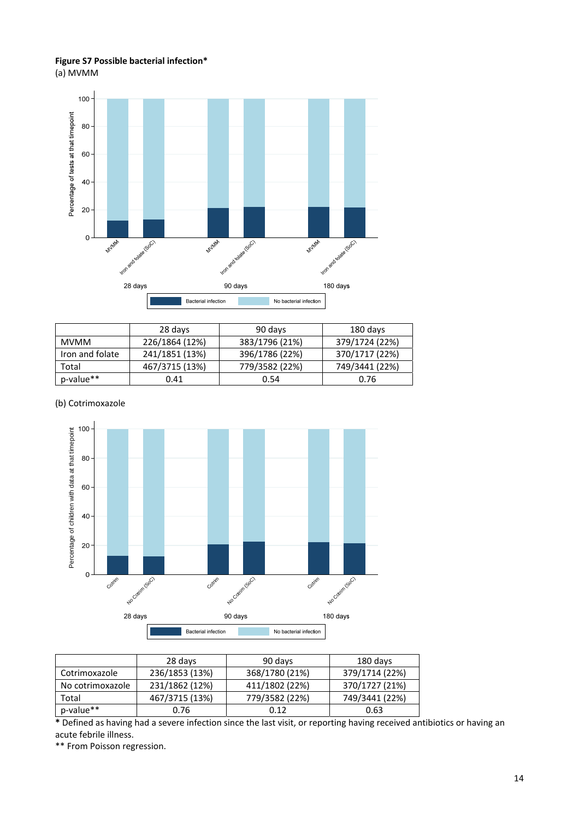## **Figure S7 Possible bacterial infection\*** (a) MVMM



|                 | 28 days        | 90 days        | 180 days       |
|-----------------|----------------|----------------|----------------|
| <b>MVMM</b>     | 226/1864 (12%) | 383/1796 (21%) | 379/1724 (22%) |
| Iron and folate | 241/1851 (13%) | 396/1786 (22%) | 370/1717 (22%) |
| Total           | 467/3715 (13%) | 779/3582 (22%) | 749/3441 (22%) |
| p-value**       | 0.41           | 0.54           | 0.76           |

# (b) Cotrimoxazole



|                  | 28 days        | 90 days        | 180 days       |
|------------------|----------------|----------------|----------------|
| Cotrimoxazole    | 236/1853 (13%) | 368/1780 (21%) | 379/1714 (22%) |
| No cotrimoxazole | 231/1862 (12%) | 411/1802 (22%) | 370/1727 (21%) |
| Total            | 467/3715 (13%) | 779/3582 (22%) | 749/3441 (22%) |
| p-value**        | 0.76           | 0.12           | 0.63           |

**\*** Defined as having had a severe infection since the last visit, or reporting having received antibiotics or having an acute febrile illness.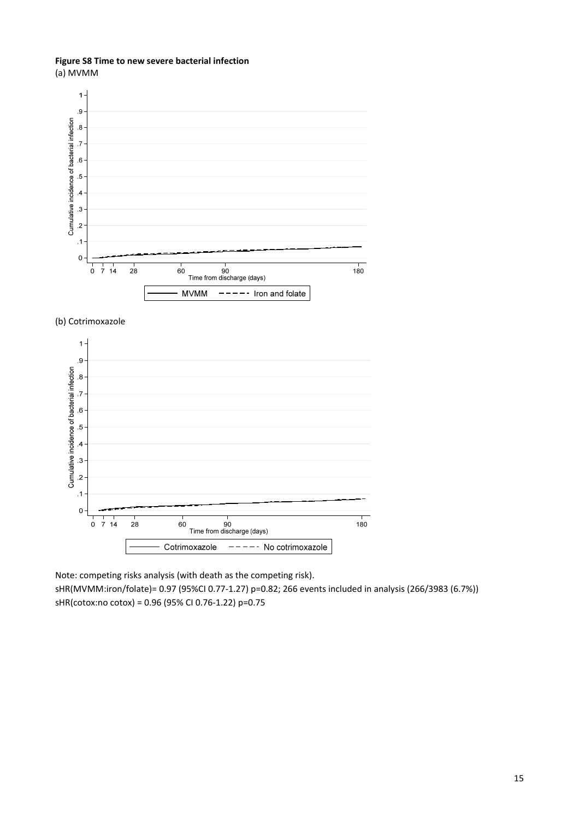# **Figure S8 Time to new severe bacterial infection**

(a) MVMM



#### (b) Cotrimoxazole



Note: competing risks analysis (with death as the competing risk).

sHR(MVMM:iron/folate)= 0.97 (95%CI 0.77‐1.27) p=0.82; 266 events included in analysis (266/3983 (6.7%)) sHR(cotox:no cotox) = 0.96 (95% CI 0.76‐1.22) p=0.75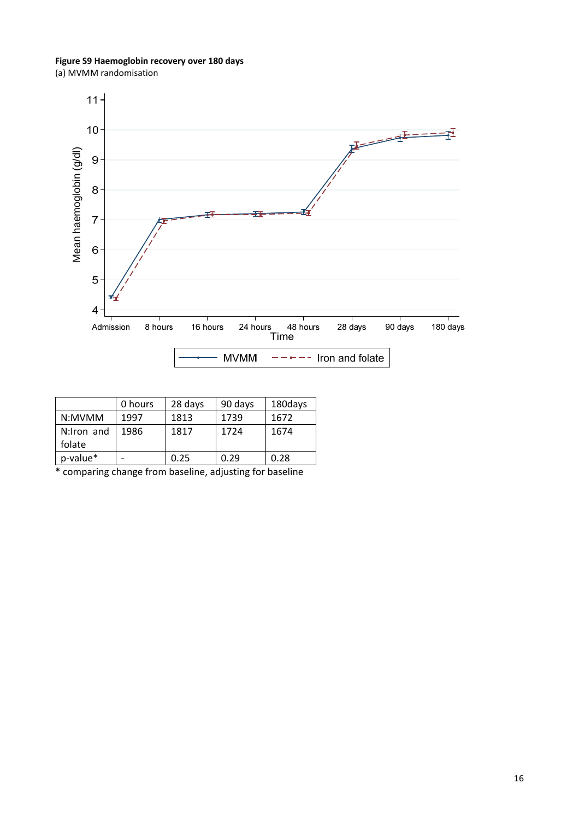**Figure S9 Haemoglobin recovery over 180 days** (a) MVMM randomisation



|            | 0 hours | 28 days | 90 days | 180days |
|------------|---------|---------|---------|---------|
| N:MVMM     | 1997    | 1813    | 1739    | 1672    |
| N:Iron and | 1986    | 1817    | 1724    | 1674    |
| folate     |         |         |         |         |
| p-value*   |         | 0.25    | 0.29    | 0.28    |

\* comparing change from baseline, adjusting for baseline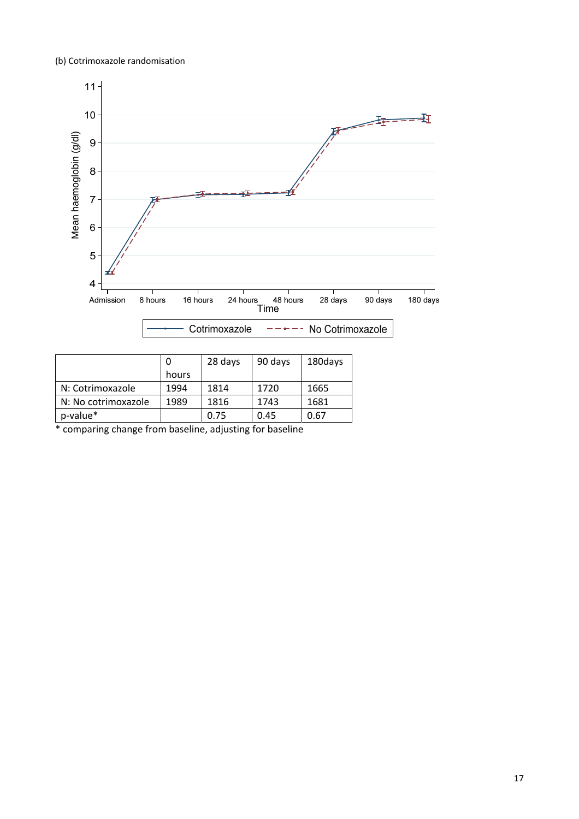# (b) Cotrimoxazole randomisation



|                     | 0     | 28 days | 90 days | 180days |
|---------------------|-------|---------|---------|---------|
|                     | hours |         |         |         |
| N: Cotrimoxazole    | 1994  | 1814    | 1720    | 1665    |
| N: No cotrimoxazole | 1989  | 1816    | 1743    | 1681    |
| p-value*            |       | 0.75    | 0.45    | 0.67    |

\* comparing change from baseline, adjusting for baseline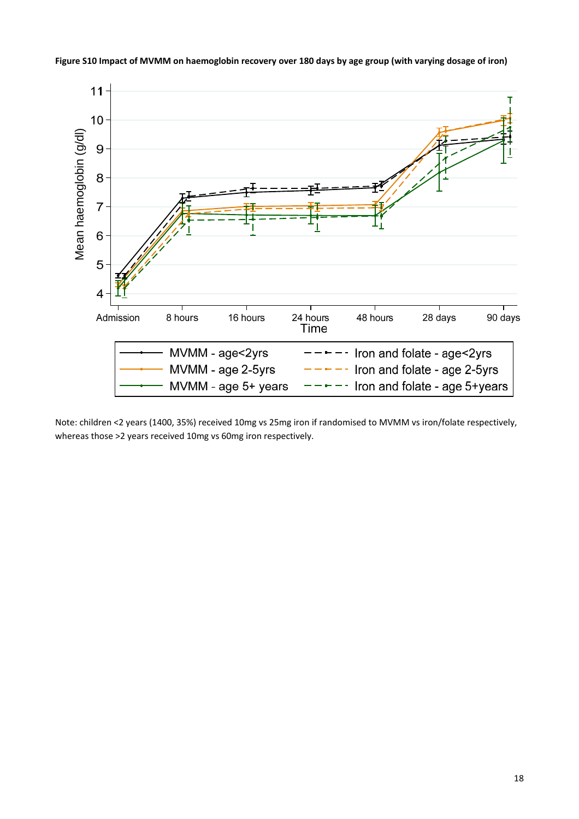



Note: children <2 years (1400, 35%) received 10mg vs 25mg iron if randomised to MVMM vs iron/folate respectively, whereas those >2 years received 10mg vs 60mg iron respectively.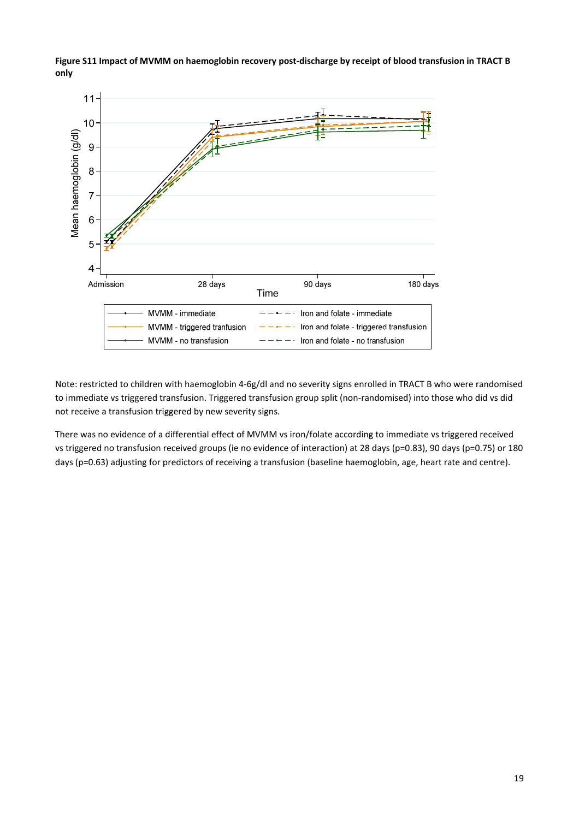



Note: restricted to children with haemoglobin 4-6g/dl and no severity signs enrolled in TRACT B who were randomised to immediate vs triggered transfusion. Triggered transfusion group split (non-randomised) into those who did vs did not receive a transfusion triggered by new severity signs.

There was no evidence of a differential effect of MVMM vs iron/folate according to immediate vs triggered received vs triggered no transfusion received groups (ie no evidence of interaction) at 28 days (p=0.83), 90 days (p=0.75) or 180 days (p=0.63) adjusting for predictors of receiving a transfusion (baseline haemoglobin, age, heart rate and centre).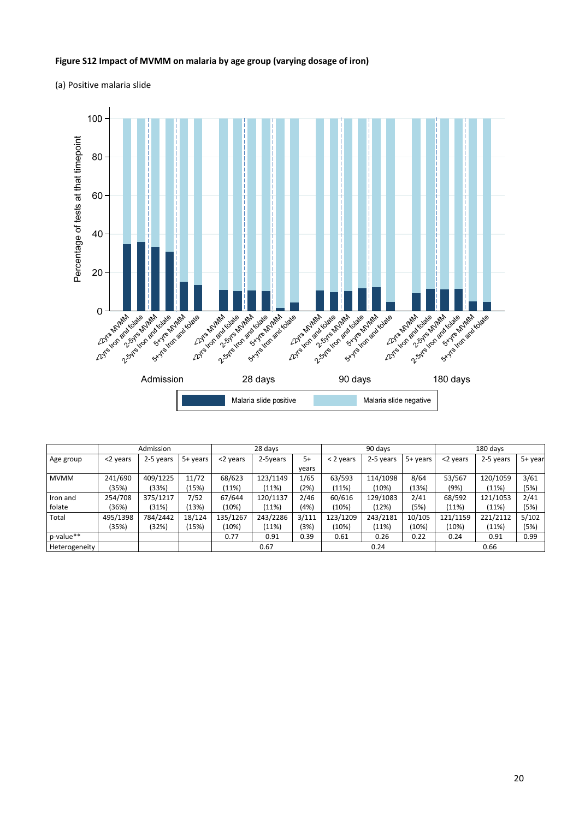#### **Figure S12 Impact of MVMM on malaria by age group (varying dosage of iron)**

(a) Positive malaria slide



|               |          | Admission |            |          | 28 days  |       |           | 90 days   |          |          | 180 days  |         |
|---------------|----------|-----------|------------|----------|----------|-------|-----------|-----------|----------|----------|-----------|---------|
| Age group     | <2 years | 2-5 years | $5+$ years | <2 years | 2-5years | 5+    | < 2 years | 2-5 years | 5+ years | <2 years | 2-5 years | 5+ year |
|               |          |           |            |          |          | vears |           |           |          |          |           |         |
| <b>MVMM</b>   | 241/690  | 409/1225  | 11/72      | 68/623   | 123/1149 | 1/65  | 63/593    | 114/1098  | 8/64     | 53/567   | 120/1059  | 3/61    |
|               | (35%)    | (33%)     | (15%)      | (11%)    | (11%)    | (2%)  | (11%)     | (10%)     | (13%)    | (9%)     | (11%)     | (5%)    |
| Iron and      | 254/708  | 375/1217  | 7/52       | 67/644   | 120/1137 | 2/46  | 60/616    | 129/1083  | 2/41     | 68/592   | 121/1053  | 2/41    |
| folate        | (36%)    | (31%)     | (13%)      | (10%)    | (11%)    | (4%)  | (10%)     | (12%)     | (5%)     | (11%)    | (11%)     | (5%)    |
| Total         | 495/1398 | 784/2442  | 18/124     | 135/1267 | 243/2286 | 3/111 | 123/1209  | 243/2181  | 10/105   | 121/1159 | 221/2112  | 5/102   |
|               | (35%)    | (32%)     | (15%)      | (10%)    | (11%)    | (3%)  | (10%)     | (11%)     | (10%)    | (10%)    | (11%)     | (5%)    |
| p-value**     |          |           |            | 0.77     | 0.91     | 0.39  | 0.61      | 0.26      | 0.22     | 0.24     | 0.91      | 0.99    |
| Heterogeneity |          |           |            |          | 0.67     |       |           | 0.24      |          |          | 0.66      |         |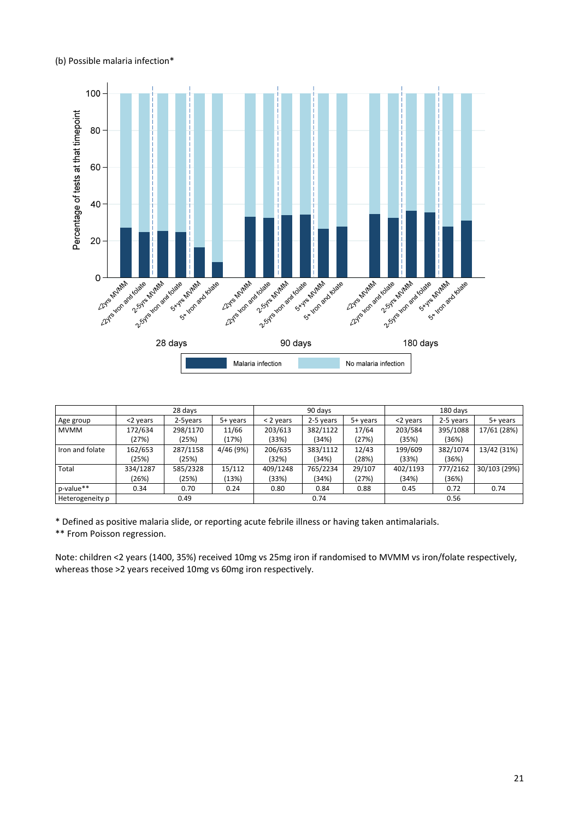#### (b) Possible malaria infection\*



|                 | 28 days  |          |           | 90 days     |           |          | 180 days |           |              |
|-----------------|----------|----------|-----------|-------------|-----------|----------|----------|-----------|--------------|
| Age group       | <2 years | 2-5years | 5+ years  | $<$ 2 years | 2-5 years | 5+ years | <2 years | 2-5 years | 5+ years     |
| <b>MVMM</b>     | 172/634  | 298/1170 | 11/66     | 203/613     | 382/1122  | 17/64    | 203/584  | 395/1088  | 17/61 (28%)  |
|                 | (27%)    | (25%)    | (17%)     | (33%)       | (34%)     | (27%)    | (35%)    | (36%)     |              |
| Iron and folate | 162/653  | 287/1158 | 4/46 (9%) | 206/635     | 383/1112  | 12/43    | 199/609  | 382/1074  | 13/42 (31%)  |
|                 | (25%)    | (25%)    |           | (32%)       | (34%)     | (28%)    | (33%)    | (36%)     |              |
| Total           | 334/1287 | 585/2328 | 15/112    | 409/1248    | 765/2234  | 29/107   | 402/1193 | 777/2162  | 30/103 (29%) |
|                 | (26%)    | (25%)    | (13%)     | (33%)       | (34%)     | (27%)    | (34%)    | (36%)     |              |
| p-value**       | 0.34     | 0.70     | 0.24      | 0.80        | 0.84      | 0.88     | 0.45     | 0.72      | 0.74         |
| Heterogeneity p |          | 0.49     |           |             | 0.74      |          |          | 0.56      |              |

\* Defined as positive malaria slide, or reporting acute febrile illness or having taken antimalarials.

\*\* From Poisson regression.

Note: children <2 years (1400, 35%) received 10mg vs 25mg iron if randomised to MVMM vs iron/folate respectively, whereas those >2 years received 10mg vs 60mg iron respectively.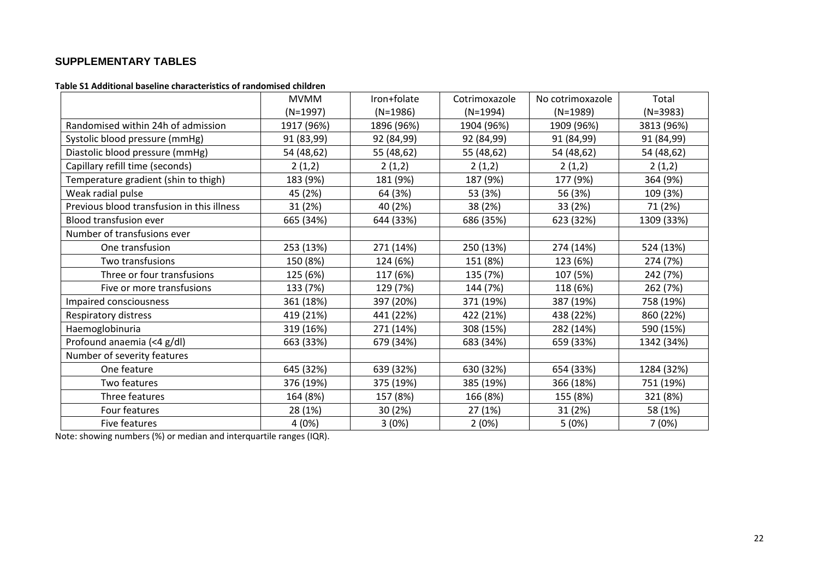# **SUPPLEMENTARY TABLES**

#### **Table S1 Additional baseline characteristics of randomised children**

|                                            | <b>MVMM</b> | Iron+folate | Cotrimoxazole | No cotrimoxazole | Total      |
|--------------------------------------------|-------------|-------------|---------------|------------------|------------|
|                                            | $(N=1997)$  | $(N=1986)$  | $(N=1994)$    | $(N=1989)$       | $(N=3983)$ |
| Randomised within 24h of admission         | 1917 (96%)  | 1896 (96%)  | 1904 (96%)    | 1909 (96%)       | 3813 (96%) |
| Systolic blood pressure (mmHg)             | 91 (83,99)  | 92 (84,99)  | 92 (84,99)    | 91 (84,99)       | 91 (84,99) |
| Diastolic blood pressure (mmHg)            | 54 (48,62)  | 55 (48,62)  | 55 (48,62)    | 54 (48,62)       | 54 (48,62) |
| Capillary refill time (seconds)            | 2(1,2)      | 2(1,2)      | 2(1,2)        | 2(1,2)           | 2(1,2)     |
| Temperature gradient (shin to thigh)       | 183 (9%)    | 181 (9%)    | 187 (9%)      | 177 (9%)         | 364 (9%)   |
| Weak radial pulse                          | 45 (2%)     | 64 (3%)     | 53 (3%)       | 56 (3%)          | 109 (3%)   |
| Previous blood transfusion in this illness | 31 (2%)     | 40 (2%)     | 38 (2%)       | 33 (2%)          | 71 (2%)    |
| Blood transfusion ever                     | 665 (34%)   | 644 (33%)   | 686 (35%)     | 623 (32%)        | 1309 (33%) |
| Number of transfusions ever                |             |             |               |                  |            |
| One transfusion                            | 253 (13%)   | 271 (14%)   | 250 (13%)     | 274 (14%)        | 524 (13%)  |
| Two transfusions                           | 150 (8%)    | 124 (6%)    | 151 (8%)      | 123 (6%)         | 274 (7%)   |
| Three or four transfusions                 | 125 (6%)    | 117 (6%)    | 135 (7%)      | 107 (5%)         | 242 (7%)   |
| Five or more transfusions                  | 133 (7%)    | 129 (7%)    | 144 (7%)      | 118 (6%)         | 262 (7%)   |
| Impaired consciousness                     | 361 (18%)   | 397 (20%)   | 371 (19%)     | 387 (19%)        | 758 (19%)  |
| Respiratory distress                       | 419 (21%)   | 441 (22%)   | 422 (21%)     | 438 (22%)        | 860 (22%)  |
| Haemoglobinuria                            | 319 (16%)   | 271 (14%)   | 308 (15%)     | 282 (14%)        | 590 (15%)  |
| Profound anaemia (<4 g/dl)                 | 663 (33%)   | 679 (34%)   | 683 (34%)     | 659 (33%)        | 1342 (34%) |
| Number of severity features                |             |             |               |                  |            |
| One feature                                | 645 (32%)   | 639 (32%)   | 630 (32%)     | 654 (33%)        | 1284 (32%) |
| Two features                               | 376 (19%)   | 375 (19%)   | 385 (19%)     | 366 (18%)        | 751 (19%)  |
| Three features                             | 164 (8%)    | 157 (8%)    | 166 (8%)      | 155 (8%)         | 321 (8%)   |
| Four features                              | 28 (1%)     | 30(2%)      | 27 (1%)       | 31 (2%)          | 58 (1%)    |
| Five features                              | 4(0%)       | 3(0%)       | 2(0%)         | 5(0%)            | 7(0%)      |

Note: showing numbers (%) or median and interquartile ranges (IQR).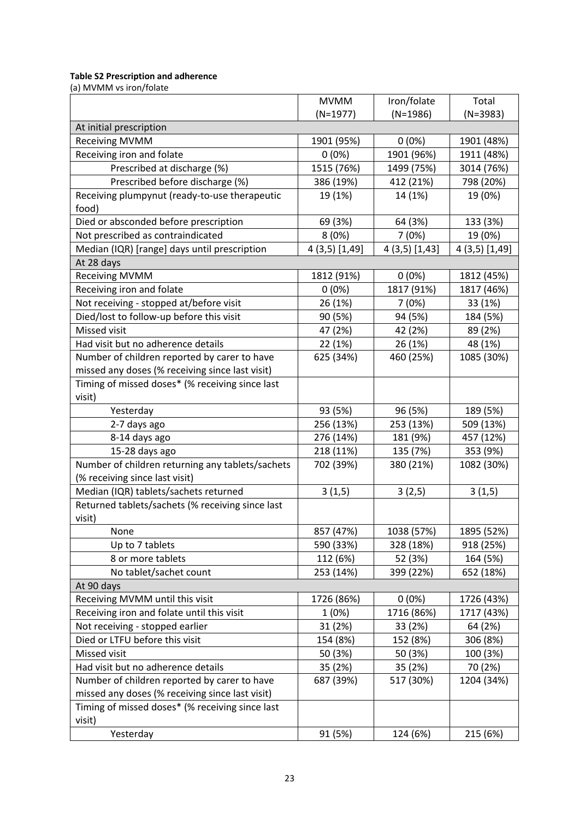# **Table S2 Prescription and adherence**

(a) MVMM vs iron/folate

|                                                  | <b>MVMM</b>    | Iron/folate  | Total          |
|--------------------------------------------------|----------------|--------------|----------------|
|                                                  | $(N=1977)$     | $(N=1986)$   | $(N=3983)$     |
| At initial prescription                          |                |              |                |
| <b>Receiving MVMM</b>                            | 1901 (95%)     | $0(0\%)$     | 1901 (48%)     |
| Receiving iron and folate                        | $0(0\%)$       | 1901 (96%)   | 1911 (48%)     |
| Prescribed at discharge (%)                      | 1515 (76%)     | 1499 (75%)   | 3014 (76%)     |
| Prescribed before discharge (%)                  | 386 (19%)      | 412 (21%)    | 798 (20%)      |
| Receiving plumpynut (ready-to-use therapeutic    | 19 (1%)        | 14 (1%)      | 19 (0%)        |
| food)                                            |                |              |                |
| Died or absconded before prescription            | 69 (3%)        | 64 (3%)      | 133 (3%)       |
| Not prescribed as contraindicated                | 8(0%)          | 7(0%)        | 19 (0%)        |
| Median (IQR) [range] days until prescription     | 4 (3,5) [1,49] | 4(3,5)[1,43] | 4 (3,5) [1,49] |
| At 28 days                                       |                |              |                |
| <b>Receiving MVMM</b>                            | 1812 (91%)     | $0(0\%)$     | 1812 (45%)     |
| Receiving iron and folate                        | $0(0\%)$       | 1817 (91%)   | 1817 (46%)     |
| Not receiving - stopped at/before visit          | 26 (1%)        | 7(0%)        | 33 (1%)        |
| Died/lost to follow-up before this visit         | 90 (5%)        | 94 (5%)      | 184 (5%)       |
| Missed visit                                     | 47 (2%)        | 42 (2%)      | 89 (2%)        |
| Had visit but no adherence details               | 22 (1%)        | 26 (1%)      | 48 (1%)        |
| Number of children reported by carer to have     | 625 (34%)      | 460 (25%)    | 1085 (30%)     |
| missed any doses (% receiving since last visit)  |                |              |                |
| Timing of missed doses* (% receiving since last  |                |              |                |
| visit)                                           |                |              |                |
| Yesterday                                        | 93 (5%)        | 96 (5%)      | 189 (5%)       |
| 2-7 days ago                                     | 256 (13%)      | 253 (13%)    | 509 (13%)      |
| 8-14 days ago                                    | 276 (14%)      | 181 (9%)     | 457 (12%)      |
| 15-28 days ago                                   | 218 (11%)      | 135 (7%)     | 353 (9%)       |
| Number of children returning any tablets/sachets | 702 (39%)      | 380 (21%)    | 1082 (30%)     |
| (% receiving since last visit)                   |                |              |                |
| Median (IQR) tablets/sachets returned            | 3(1,5)         | 3(2,5)       | 3(1,5)         |
| Returned tablets/sachets (% receiving since last |                |              |                |
| visit)                                           |                |              |                |
| None                                             | 857 (47%)      | 1038 (57%)   | 1895 (52%)     |
| Up to 7 tablets                                  | 590 (33%)      | 328 (18%)    | 918 (25%)      |
| 8 or more tablets                                | 112 (6%)       | 52 (3%)      | 164 (5%)       |
| No tablet/sachet count                           | 253 (14%)      | 399 (22%)    | 652 (18%)      |
| At 90 days                                       |                |              |                |
| Receiving MVMM until this visit                  | 1726 (86%)     | 0(0%)        | 1726 (43%)     |
| Receiving iron and folate until this visit       | 1(0%)          | 1716 (86%)   | 1717 (43%)     |
| Not receiving - stopped earlier                  | 31 (2%)        | 33 (2%)      | 64 (2%)        |
| Died or LTFU before this visit                   | 154 (8%)       | 152 (8%)     | 306 (8%)       |
| Missed visit                                     | 50 (3%)        | 50 (3%)      | 100 (3%)       |
| Had visit but no adherence details               | 35 (2%)        | 35 (2%)      | 70 (2%)        |
| Number of children reported by carer to have     | 687 (39%)      | 517 (30%)    | 1204 (34%)     |
| missed any doses (% receiving since last visit)  |                |              |                |
| Timing of missed doses* (% receiving since last  |                |              |                |
| visit)                                           |                |              |                |
| Yesterday                                        | 91 (5%)        | 124 (6%)     | 215 (6%)       |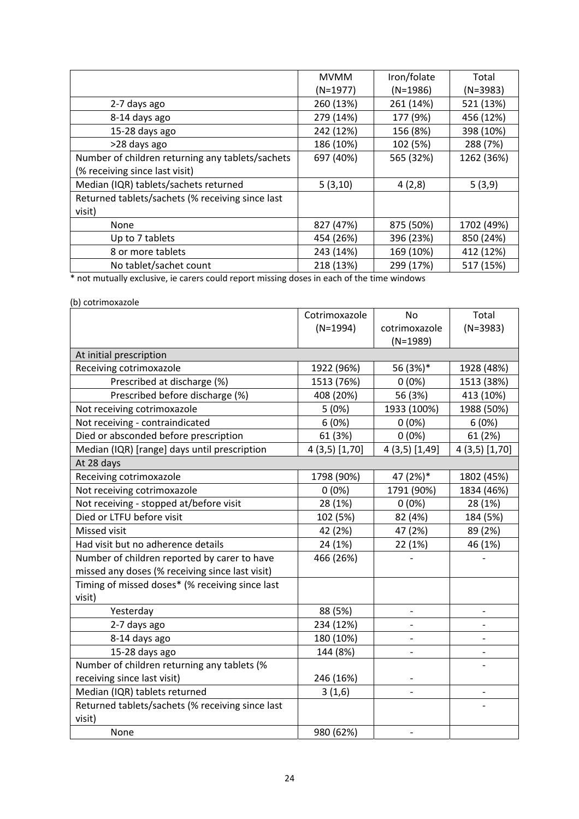|                                                  | <b>MVMM</b> | Iron/folate | Total      |
|--------------------------------------------------|-------------|-------------|------------|
|                                                  | $(N=1977)$  | $(N=1986)$  | $(N=3983)$ |
| 2-7 days ago                                     | 260 (13%)   | 261 (14%)   | 521 (13%)  |
| 8-14 days ago                                    | 279 (14%)   | 177 (9%)    | 456 (12%)  |
| 15-28 days ago                                   | 242 (12%)   | 156 (8%)    | 398 (10%)  |
| >28 days ago                                     | 186 (10%)   | 102 (5%)    | 288 (7%)   |
| Number of children returning any tablets/sachets | 697 (40%)   | 565 (32%)   | 1262 (36%) |
| (% receiving since last visit)                   |             |             |            |
| Median (IQR) tablets/sachets returned            | 5(3,10)     | 4(2,8)      | 5(3,9)     |
| Returned tablets/sachets (% receiving since last |             |             |            |
| visit)                                           |             |             |            |
| None                                             | 827 (47%)   | 875 (50%)   | 1702 (49%) |
| Up to 7 tablets                                  | 454 (26%)   | 396 (23%)   | 850 (24%)  |
| 8 or more tablets                                | 243 (14%)   | 169 (10%)   | 412 (12%)  |
| No tablet/sachet count                           | 218 (13%)   | 299 (17%)   | 517 (15%)  |

\* not mutually exclusive, ie carers could report missing doses in each of the time windows

# (b) cotrimoxazole

|                                                  | Cotrimoxazole  | <b>No</b>         | Total        |
|--------------------------------------------------|----------------|-------------------|--------------|
|                                                  | $(N=1994)$     | cotrimoxazole     | $(N=3983)$   |
|                                                  |                | $(N=1989)$        |              |
| At initial prescription                          |                |                   |              |
| Receiving cotrimoxazole                          | 1922 (96%)     | 56 (3%)*          | 1928 (48%)   |
| Prescribed at discharge (%)                      | 1513 (76%)     | $0(0\%)$          | 1513 (38%)   |
| Prescribed before discharge (%)                  | 408 (20%)      | 56 (3%)           | 413 (10%)    |
| Not receiving cotrimoxazole                      | 5(0%)          | 1933 (100%)       | 1988 (50%)   |
| Not receiving - contraindicated                  | 6(0%)          | $0(0\%)$          | 6(0%)        |
| Died or absconded before prescription            | 61 (3%)        | $0(0\%)$          | 61 (2%)      |
| Median (IQR) [range] days until prescription     | 4 (3,5) [1,70] | 4 (3,5) [1,49]    | 4(3,5)[1,70] |
| At 28 days                                       |                |                   |              |
| Receiving cotrimoxazole                          | 1798 (90%)     | 47 (2%)*          | 1802 (45%)   |
| Not receiving cotrimoxazole                      | $0(0\%)$       | 1791 (90%)        | 1834 (46%)   |
| Not receiving - stopped at/before visit          | 28 (1%)        | $0(0\%)$          | 28 (1%)      |
| Died or LTFU before visit                        | 102 (5%)       | 82 (4%)           | 184 (5%)     |
| Missed visit                                     | 42 (2%)        | 47 (2%)           | 89 (2%)      |
| Had visit but no adherence details               | 24 (1%)        | 22 (1%)           | 46 (1%)      |
| Number of children reported by carer to have     | 466 (26%)      |                   |              |
| missed any doses (% receiving since last visit)  |                |                   |              |
| Timing of missed doses* (% receiving since last  |                |                   |              |
| visit)                                           |                |                   |              |
| Yesterday                                        | 88 (5%)        |                   |              |
| 2-7 days ago                                     | 234 (12%)      |                   |              |
| 8-14 days ago                                    | 180 (10%)      |                   |              |
| 15-28 days ago                                   | 144 (8%)       |                   |              |
| Number of children returning any tablets (%      |                |                   |              |
| receiving since last visit)                      | 246 (16%)      |                   |              |
| Median (IQR) tablets returned                    | 3(1,6)         |                   |              |
| Returned tablets/sachets (% receiving since last |                |                   |              |
| visit)                                           |                |                   |              |
| None                                             | 980 (62%)      | $\qquad \qquad -$ |              |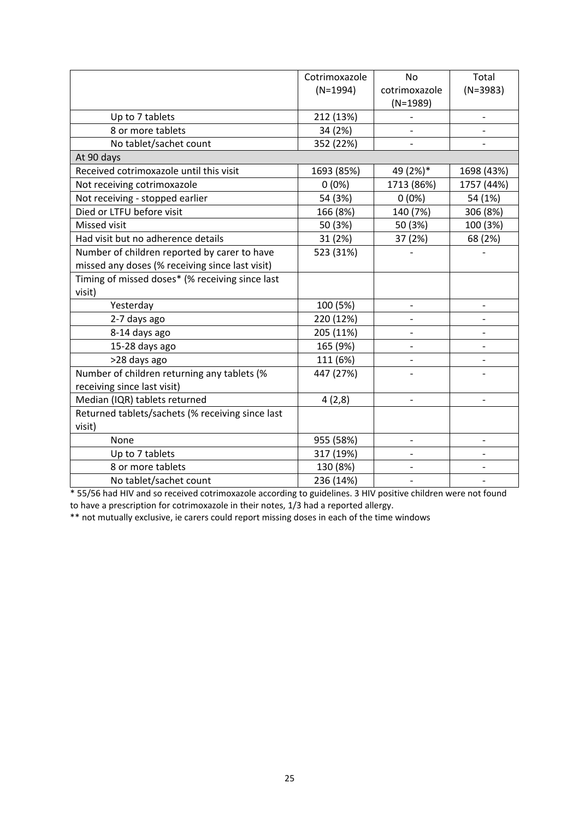|                                                  | Cotrimoxazole | No                       | Total                    |
|--------------------------------------------------|---------------|--------------------------|--------------------------|
|                                                  | $(N=1994)$    | cotrimoxazole            | $(N=3983)$               |
|                                                  |               | $(N=1989)$               |                          |
| Up to 7 tablets                                  | 212 (13%)     |                          |                          |
| 8 or more tablets                                | 34 (2%)       |                          |                          |
| No tablet/sachet count                           | 352 (22%)     |                          |                          |
| At 90 days                                       |               |                          |                          |
| Received cotrimoxazole until this visit          | 1693 (85%)    | 49 (2%)*                 | 1698 (43%)               |
| Not receiving cotrimoxazole                      | $0(0\%)$      | 1713 (86%)               | 1757 (44%)               |
| Not receiving - stopped earlier                  | 54 (3%)       | $0(0\%)$                 | 54 (1%)                  |
| Died or LTFU before visit                        | 166 (8%)      | 140 (7%)                 | 306 (8%)                 |
| Missed visit                                     | 50 (3%)       | 50 (3%)                  | 100 (3%)                 |
| Had visit but no adherence details               | 31 (2%)       | 37 (2%)                  | 68 (2%)                  |
| Number of children reported by carer to have     | 523 (31%)     |                          |                          |
| missed any doses (% receiving since last visit)  |               |                          |                          |
| Timing of missed doses* (% receiving since last  |               |                          |                          |
| visit)                                           |               |                          |                          |
| Yesterday                                        | 100 (5%)      | $\overline{\phantom{a}}$ | $\overline{\phantom{a}}$ |
| 2-7 days ago                                     | 220 (12%)     |                          |                          |
| 8-14 days ago                                    | 205 (11%)     |                          |                          |
| 15-28 days ago                                   | 165 (9%)      |                          |                          |
| >28 days ago                                     | 111 (6%)      |                          |                          |
| Number of children returning any tablets (%      | 447 (27%)     |                          |                          |
| receiving since last visit)                      |               |                          |                          |
| Median (IQR) tablets returned                    | 4(2,8)        |                          |                          |
| Returned tablets/sachets (% receiving since last |               |                          |                          |
| visit)                                           |               |                          |                          |
| None                                             | 955 (58%)     | $\overline{\phantom{a}}$ | $\overline{\phantom{a}}$ |
| Up to 7 tablets                                  | 317 (19%)     |                          |                          |
| 8 or more tablets                                | 130 (8%)      |                          |                          |
| No tablet/sachet count                           | 236 (14%)     |                          |                          |

\* 55/56 had HIV and so received cotrimoxazole according to guidelines. 3 HIV positive children were not found to have a prescription for cotrimoxazole in their notes, 1/3 had a reported allergy.

\*\* not mutually exclusive, ie carers could report missing doses in each of the time windows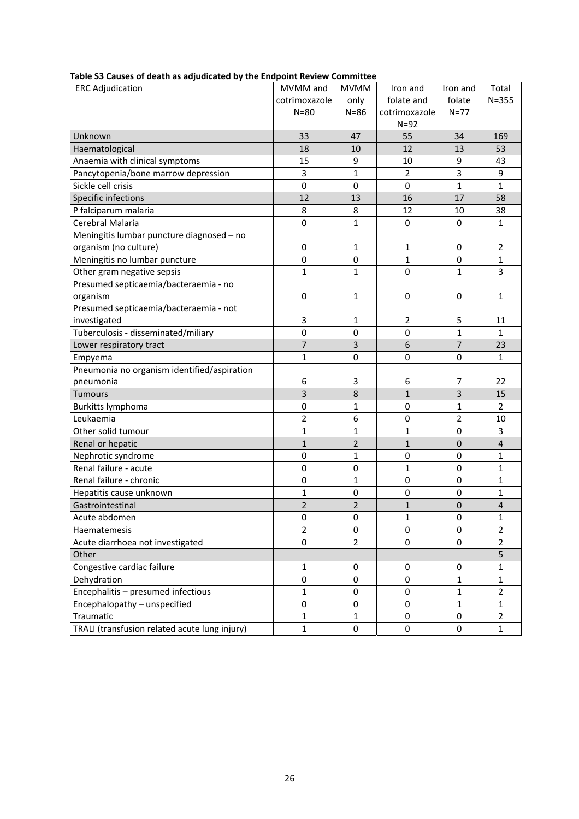| <b>SS CURSES OF MEDITING UNJURIEDITION</b> MY THE ETIM<br><b>ERC Adjudication</b> | MVMM and         | <b>MVMM</b>      | Iron and         | Iron and         | Total          |
|-----------------------------------------------------------------------------------|------------------|------------------|------------------|------------------|----------------|
|                                                                                   | cotrimoxazole    |                  | folate and       | folate           | $N = 355$      |
|                                                                                   | $N = 80$         | only<br>$N = 86$ | cotrimoxazole    | $N=77$           |                |
|                                                                                   |                  |                  | $N=92$           |                  |                |
| Unknown                                                                           | 33               | 47               | 55               | 34               | 169            |
| Haematological                                                                    | 18               | 10               | 12               | 13               | 53             |
| Anaemia with clinical symptoms                                                    | 15               | 9                | 10               | 9                | 43             |
| Pancytopenia/bone marrow depression                                               | $\mathsf 3$      | $\mathbf{1}$     | $\overline{2}$   | 3                | 9              |
| Sickle cell crisis                                                                | $\pmb{0}$        | 0                | 0                | $\mathbf{1}$     | $\mathbf{1}$   |
| Specific infections                                                               | 12               | 13               | 16               | 17               | 58             |
| P falciparum malaria                                                              | 8                | 8                | 12               |                  | 38             |
|                                                                                   |                  |                  |                  | 10               |                |
| Cerebral Malaria                                                                  | $\mathbf 0$      | $\mathbf{1}$     | 0                | $\mathbf 0$      | $\mathbf{1}$   |
| Meningitis lumbar puncture diagnosed - no                                         |                  |                  |                  |                  |                |
| organism (no culture)                                                             | $\boldsymbol{0}$ | 1                | 1                | 0                | $\overline{2}$ |
| Meningitis no lumbar puncture                                                     | $\overline{0}$   | $\mathbf 0$      | $\overline{1}$   | $\mathbf 0$      | $\mathbf{1}$   |
| Other gram negative sepsis                                                        | 1                | $\mathbf{1}$     | $\mathbf 0$      | $\mathbf{1}$     | 3              |
| Presumed septicaemia/bacteraemia - no                                             |                  |                  |                  |                  |                |
| organism                                                                          | $\pmb{0}$        | 1                | 0                | 0                | 1              |
| Presumed septicaemia/bacteraemia - not                                            |                  |                  |                  |                  |                |
| investigated                                                                      | 3                | 1                | 2                | 5                | 11             |
| Tuberculosis - disseminated/miliary                                               | $\mathbf 0$      | $\mathbf 0$      | $\mathbf 0$      | $\mathbf{1}$     | $\mathbf{1}$   |
| Lower respiratory tract                                                           | $\overline{7}$   | 3                | 6                | $\overline{7}$   | 23             |
| Empyema                                                                           | $\mathbf 1$      | $\mathbf 0$      | 0                | 0                | $\mathbf{1}$   |
| Pneumonia no organism identified/aspiration                                       |                  |                  |                  |                  |                |
| pneumonia                                                                         | 6                | 3                | 6                | $\overline{7}$   | 22             |
| <b>Tumours</b>                                                                    | 3                | 8                | $\mathbf{1}$     | $\overline{3}$   | 15             |
| Burkitts lymphoma                                                                 | $\mathbf 0$      | $\mathbf{1}$     | 0                | 1                | $\overline{2}$ |
| Leukaemia                                                                         | 2                | 6                | 0                | $\overline{2}$   | 10             |
| Other solid tumour                                                                | 1                | $\mathbf{1}$     | 1                | 0                | 3              |
| Renal or hepatic                                                                  | $\mathbf 1$      | $\overline{2}$   | $\mathbf{1}$     | $\boldsymbol{0}$ | $\overline{4}$ |
| Nephrotic syndrome                                                                | 0                | $\mathbf{1}$     | 0                | 0                | 1              |
| Renal failure - acute                                                             | 0                | $\mathbf 0$      | $\mathbf{1}$     | $\mathbf 0$      | $\mathbf 1$    |
| Renal failure - chronic                                                           | $\pmb{0}$        | $\mathbf{1}$     | $\mathbf 0$      | 0                | 1              |
| Hepatitis cause unknown                                                           | $\overline{1}$   | $\mathbf 0$      | $\mathbf 0$      | $\mathbf 0$      | 1              |
| Gastrointestinal                                                                  | $\overline{2}$   | $\overline{2}$   | $\mathbf{1}$     | $\mathbf{0}$     | $\overline{4}$ |
| Acute abdomen                                                                     | 0                | 0                | 1                | 0                | 1              |
| Haematemesis                                                                      | $\overline{2}$   | $\pmb{0}$        | 0                | $\boldsymbol{0}$ | $\overline{2}$ |
| Acute diarrhoea not investigated                                                  | $\pmb{0}$        | $\overline{2}$   | 0                | $\pmb{0}$        | $\overline{2}$ |
| Other                                                                             |                  |                  |                  |                  | 5              |
| Congestive cardiac failure                                                        | 1                | 0                | 0                | 0                | 1              |
| Dehydration                                                                       | $\pmb{0}$        | $\pmb{0}$        | $\boldsymbol{0}$ | $\mathbf{1}$     | $\mathbf{1}$   |
| Encephalitis - presumed infectious                                                | $\mathbf 1$      | $\pmb{0}$        | $\boldsymbol{0}$ | $\mathbf{1}$     | $\overline{2}$ |
| Encephalopathy - unspecified                                                      | $\pmb{0}$        | 0                | $\boldsymbol{0}$ | $\mathbf{1}$     | $\mathbf{1}$   |
| Traumatic                                                                         | 1                | 1                | 0                | 0                | $\overline{2}$ |
| TRALI (transfusion related acute lung injury)                                     | $\mathbf{1}$     | 0                | 0                | 0                | $\mathbf{1}$   |

## **Table S3 Causes of death as adjudicated by the Endpoint Review Committee**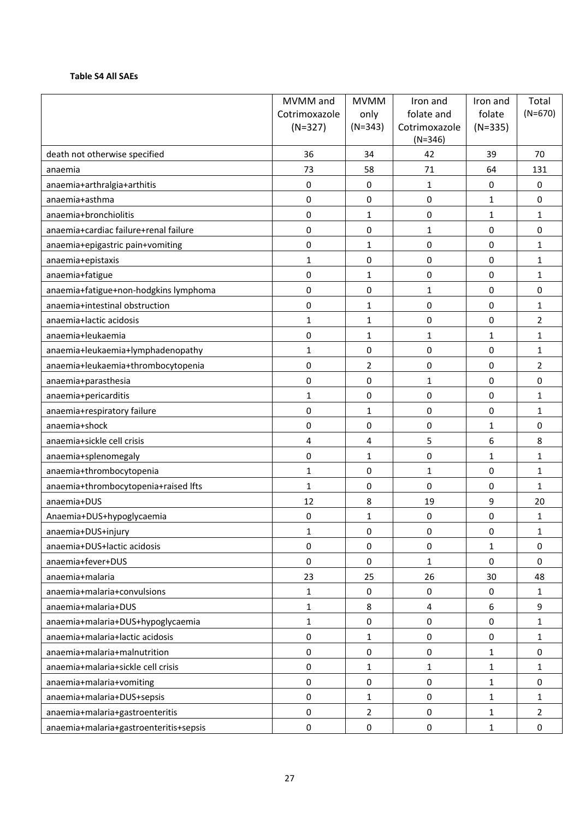#### **Table S4 All SAEs**

|                                        | MVMM and      | <b>MVMM</b>      | Iron and                   | Iron and     | Total          |
|----------------------------------------|---------------|------------------|----------------------------|--------------|----------------|
|                                        | Cotrimoxazole | only             | folate and                 | folate       | $(N=670)$      |
|                                        | $(N=327)$     | $(N=343)$        | Cotrimoxazole<br>$(N=346)$ | $(N=335)$    |                |
| death not otherwise specified          | 36            | 34               | 42                         | 39           | 70             |
| anaemia                                | 73            | 58               | 71                         | 64           | 131            |
| anaemia+arthralgia+arthitis            | 0             | $\mathbf 0$      | $\mathbf{1}$               | 0            | 0              |
| anaemia+asthma                         | 0             | $\mathbf 0$      | 0                          | $\mathbf{1}$ | 0              |
| anaemia+bronchiolitis                  | 0             | 1                | 0                          | $\mathbf{1}$ | 1              |
| anaemia+cardiac failure+renal failure  | 0             | $\mathbf 0$      | $\mathbf{1}$               | $\mathbf 0$  | 0              |
| anaemia+epigastric pain+vomiting       | 0             | 1                | 0                          | $\pmb{0}$    | $\mathbf{1}$   |
| anaemia+epistaxis                      | $\mathbf{1}$  | $\Omega$         | 0                          | $\mathbf 0$  | 1              |
| anaemia+fatigue                        | $\pmb{0}$     | 1                | 0                          | $\mathbf 0$  | 1              |
| anaemia+fatigue+non-hodgkins lymphoma  | 0             | $\mathbf 0$      | $\mathbf{1}$               | $\pmb{0}$    | 0              |
| anaemia+intestinal obstruction         | 0             | 1                | 0                          | $\mathbf 0$  | 1              |
| anaemia+lactic acidosis                | $\mathbf{1}$  | 1                | 0                          | $\mathbf 0$  | $\overline{2}$ |
| anaemia+leukaemia                      | 0             | 1                | $\mathbf{1}$               | $\mathbf{1}$ | $\mathbf{1}$   |
| anaemia+leukaemia+lymphadenopathy      | $\mathbf{1}$  | $\mathbf 0$      | 0                          | $\mathbf 0$  | 1              |
| anaemia+leukaemia+thrombocytopenia     | 0             | 2                | 0                          | $\mathbf 0$  | 2              |
| anaemia+parasthesia                    | 0             | $\mathbf 0$      | 1                          | $\mathbf 0$  | 0              |
| anaemia+pericarditis                   | 1             | $\mathbf 0$      | 0                          | 0            | 1              |
| anaemia+respiratory failure            | 0             | $\mathbf{1}$     | 0                          | $\mathbf 0$  | $\mathbf{1}$   |
| anaemia+shock                          | 0             | $\mathbf 0$      | 0                          | $\mathbf{1}$ | 0              |
| anaemia+sickle cell crisis             | 4             | 4                | 5                          | 6            | 8              |
| anaemia+splenomegaly                   | 0             | $\mathbf{1}$     | 0                          | $\mathbf{1}$ | 1              |
| anaemia+thrombocytopenia               | $\mathbf{1}$  | $\mathbf 0$      | $\mathbf{1}$               | $\mathbf 0$  | 1              |
| anaemia+thrombocytopenia+raised lfts   | $\mathbf{1}$  | $\mathbf 0$      | 0                          | $\mathbf 0$  | $\mathbf{1}$   |
| anaemia+DUS                            | 12            | 8                | 19                         | 9            | 20             |
| Anaemia+DUS+hypoglycaemia              | 0             | 1                | 0                          | 0            | 1              |
| anaemia+DUS+injury                     | 1             | $\boldsymbol{0}$ | 0                          | $\pmb{0}$    | 1              |
| anaemia+DUS+lactic acidosis            | 0             | $\mathbf 0$      | 0                          | $\mathbf{1}$ | 0              |
| anaemia+fever+DUS                      | 0             | $\mathbf 0$      | 1                          | $\mathbf 0$  | 0              |
| anaemia+malaria                        | 23            | 25               | 26                         | 30           | 48             |
| anaemia+malaria+convulsions            | $\mathbf{1}$  | $\mathbf 0$      | 0                          | 0            | $\mathbf 1$    |
| anaemia+malaria+DUS                    | $\mathbf{1}$  | 8                | 4                          | 6            | 9              |
| anaemia+malaria+DUS+hypoglycaemia      | $\mathbf{1}$  | $\pmb{0}$        | $\pmb{0}$                  | $\pmb{0}$    | $\mathbf 1$    |
| anaemia+malaria+lactic acidosis        | 0             | $\mathbf{1}$     | 0                          | $\pmb{0}$    | 1              |
| anaemia+malaria+malnutrition           | 0             | $\mathbf 0$      | 0                          | $\mathbf{1}$ | $\pmb{0}$      |
| anaemia+malaria+sickle cell crisis     | 0             | 1                | 1                          | 1            | 1              |
| anaemia+malaria+vomiting               | 0             | $\mathbf 0$      | $\pmb{0}$                  | $\mathbf{1}$ | 0              |
| anaemia+malaria+DUS+sepsis             | 0             | $\mathbf{1}$     | $\pmb{0}$                  | $\mathbf{1}$ | $\mathbf 1$    |
| anaemia+malaria+gastroenteritis        | $\pmb{0}$     | $\overline{2}$   | $\pmb{0}$                  | $\mathbf{1}$ | $\overline{2}$ |
| anaemia+malaria+gastroenteritis+sepsis | $\pmb{0}$     | $\pmb{0}$        | $\pmb{0}$                  | $\mathbf 1$  | $\pmb{0}$      |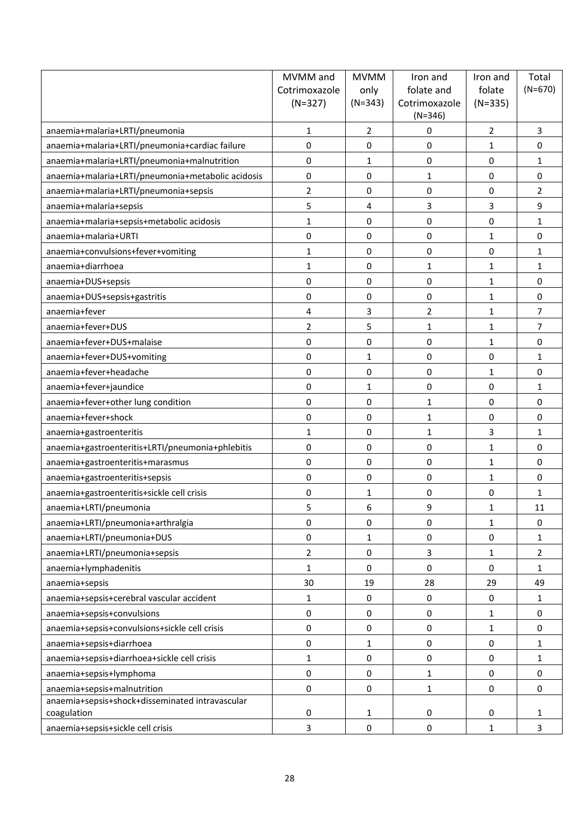|                                                   | MVMM and       | <b>MVMM</b>    | Iron and                   | Iron and          | Total          |
|---------------------------------------------------|----------------|----------------|----------------------------|-------------------|----------------|
|                                                   | Cotrimoxazole  | only           | folate and                 | folate            | $(N=670)$      |
|                                                   | $(N=327)$      | $(N=343)$      | Cotrimoxazole<br>$(N=346)$ | $(N=335)$         |                |
| anaemia+malaria+LRTI/pneumonia                    | 1              | $\overline{2}$ | 0                          | $\overline{2}$    | 3              |
| anaemia+malaria+LRTI/pneumonia+cardiac failure    | 0              | 0              | 0                          | 1                 | 0              |
| anaemia+malaria+LRTI/pneumonia+malnutrition       | 0              | $\mathbf{1}$   | 0                          | 0                 | 1              |
| anaemia+malaria+LRTI/pneumonia+metabolic acidosis | 0              | $\mathbf 0$    | $\mathbf{1}$               | 0                 | 0              |
| anaemia+malaria+LRTI/pneumonia+sepsis             | $\overline{2}$ | $\mathbf 0$    | 0                          | 0                 | $\overline{2}$ |
| anaemia+malaria+sepsis                            | 5              | 4              | 3                          | 3                 | 9              |
| anaemia+malaria+sepsis+metabolic acidosis         | $\mathbf{1}$   | $\mathbf 0$    | 0                          | 0                 | 1              |
| anaemia+malaria+URTI                              | 0              | $\mathbf 0$    | 0                          | $\mathbf{1}$      | 0              |
| anaemia+convulsions+fever+vomiting                | $\mathbf{1}$   | 0              | 0                          | 0                 | 1              |
| anaemia+diarrhoea                                 | $\mathbf{1}$   | $\mathbf 0$    | 1                          | 1                 | 1              |
| anaemia+DUS+sepsis                                | 0              | $\mathbf 0$    | 0                          | 1                 | 0              |
| anaemia+DUS+sepsis+gastritis                      | 0              | 0              | 0                          | 1                 | 0              |
| anaemia+fever                                     | 4              | 3              | 2                          | 1                 | $\overline{7}$ |
| anaemia+fever+DUS                                 | $\overline{2}$ | 5              | 1                          | $\mathbf{1}$      | $\overline{7}$ |
| anaemia+fever+DUS+malaise                         | 0              | $\Omega$       | 0                          | $\mathbf{1}$      | 0              |
| anaemia+fever+DUS+vomiting                        | 0              | $\mathbf{1}$   | 0                          | 0                 | 1              |
| anaemia+fever+headache                            | 0              | $\mathbf 0$    | $\boldsymbol{0}$           | $\mathbf{1}$      | 0              |
| anaemia+fever+jaundice                            | 0              | $\mathbf{1}$   | 0                          | 0                 | 1              |
| anaemia+fever+other lung condition                | 0              | $\mathbf 0$    | 1                          | 0                 | 0              |
| anaemia+fever+shock                               | 0              | 0              | 1                          | 0                 | 0              |
| anaemia+gastroenteritis                           | $\mathbf{1}$   | 0              | $\mathbf{1}$               | 3                 | $\mathbf{1}$   |
| anaemia+gastroenteritis+LRTI/pneumonia+phlebitis  | 0              | $\mathbf 0$    | 0                          | $\mathbf{1}$      | 0              |
| anaemia+gastroenteritis+marasmus                  | 0              | $\mathbf 0$    | 0                          | 1                 | 0              |
| anaemia+gastroenteritis+sepsis                    | 0              | $\mathbf 0$    | 0                          | 1                 | 0              |
| anaemia+gastroenteritis+sickle cell crisis        | 0              | $\mathbf{1}$   | 0                          | 0                 | 1              |
| anaemia+LRTI/pneumonia                            | 5              | 6              | 9                          | 1                 | 11             |
| anaemia+LRTI/pneumonia+arthralgia                 | 0              | $\mathbf 0$    | 0                          | $\mathbf{1}$      | 0              |
| anaemia+LRTI/pneumonia+DUS                        | 0              | $\mathbf{1}$   | 0                          | 0                 | 1              |
| anaemia+LRTI/pneumonia+sepsis                     | $\overline{2}$ | $\mathbf 0$    | 3                          | $\mathbf{1}$      | $\overline{2}$ |
| anaemia+lymphadenitis                             | $\mathbf{1}$   | $\mathbf 0$    | 0                          | 0                 | 1              |
| anaemia+sepsis                                    | 30             | 19             | 28                         | 29                | 49             |
| anaemia+sepsis+cerebral vascular accident         | 1              | 0              | 0                          | 0                 | $\mathbf{1}$   |
| anaemia+sepsis+convulsions                        | 0              | $\mathbf 0$    | 0                          | $\mathbf{1}$      | 0              |
| anaemia+sepsis+convulsions+sickle cell crisis     | 0              | $\pmb{0}$      | $\pmb{0}$                  | $\mathbf{1}$      | 0              |
| anaemia+sepsis+diarrhoea                          | 0              | $\mathbf{1}$   | 0                          | 0                 | 1              |
| anaemia+sepsis+diarrhoea+sickle cell crisis       | 1              | $\mathbf 0$    | 0                          | 0                 | 1              |
| anaemia+sepsis+lymphoma                           | 0              | $\mathbf 0$    | 1                          | 0                 | 0              |
| anaemia+sepsis+malnutrition                       | 0              | $\mathbf 0$    | 1                          | 0                 | 0              |
| anaemia+sepsis+shock+disseminated intravascular   |                |                |                            |                   |                |
| coagulation                                       | 0<br>3         | 1<br>$\pmb{0}$ | 0<br>$\boldsymbol{0}$      | 0<br>$\mathbf{1}$ | 1<br>3         |
| anaemia+sepsis+sickle cell crisis                 |                |                |                            |                   |                |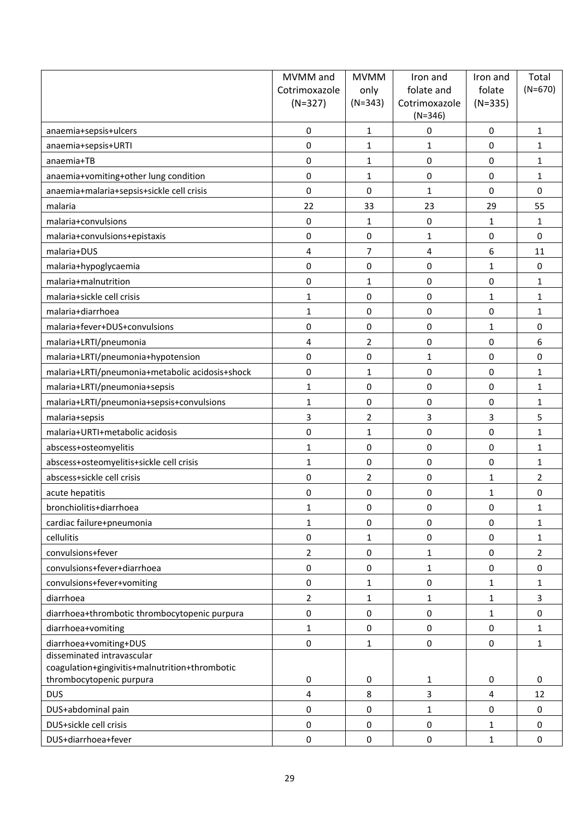|                                                                            | MVMM and       | <b>MVMM</b>    | Iron and                   | Iron and         | Total          |
|----------------------------------------------------------------------------|----------------|----------------|----------------------------|------------------|----------------|
|                                                                            | Cotrimoxazole  | only           | folate and                 | folate           | $(N=670)$      |
|                                                                            | $(N=327)$      | $(N=343)$      | Cotrimoxazole<br>$(N=346)$ | $(N=335)$        |                |
| anaemia+sepsis+ulcers                                                      | 0              | $\mathbf{1}$   | 0                          | 0                | $\mathbf{1}$   |
| anaemia+sepsis+URTI                                                        | 0              | 1              | 1                          | 0                | 1              |
| anaemia+TB                                                                 | 0              | $\mathbf{1}$   | 0                          | 0                | $\mathbf{1}$   |
| anaemia+vomiting+other lung condition                                      | 0              | 1              | 0                          | 0                | $\mathbf{1}$   |
| anaemia+malaria+sepsis+sickle cell crisis                                  | 0              | $\Omega$       | $\mathbf{1}$               | 0                | 0              |
| malaria                                                                    | 22             | 33             | 23                         | 29               | 55             |
| malaria+convulsions                                                        | 0              | 1              | 0                          | $\mathbf{1}$     | 1              |
| malaria+convulsions+epistaxis                                              | 0              | $\mathbf 0$    | 1                          | 0                | 0              |
| malaria+DUS                                                                | 4              | 7              | 4                          | 6                | 11             |
| malaria+hypoglycaemia                                                      | 0              | $\mathbf 0$    | 0                          | $\mathbf{1}$     | 0              |
| malaria+malnutrition                                                       | 0              | 1              | 0                          | 0                | $\mathbf{1}$   |
| malaria+sickle cell crisis                                                 | $\mathbf{1}$   | $\mathbf 0$    | $\pmb{0}$                  | 1                | 1              |
| malaria+diarrhoea                                                          | $\mathbf{1}$   | $\mathbf 0$    | 0                          | 0                | $\mathbf{1}$   |
| malaria+fever+DUS+convulsions                                              | 0              | 0              | 0                          | 1                | 0              |
| malaria+LRTI/pneumonia                                                     | 4              | $\overline{2}$ | 0                          | 0                | 6              |
| malaria+LRTI/pneumonia+hypotension                                         | 0              | $\mathbf 0$    | 1                          | 0                | 0              |
| malaria+LRTI/pneumonia+metabolic acidosis+shock                            | 0              | 1              | $\pmb{0}$                  | $\boldsymbol{0}$ | $\mathbf{1}$   |
| malaria+LRTI/pneumonia+sepsis                                              | 1              | $\mathbf 0$    | $\mathbf 0$                | 0                | $\mathbf{1}$   |
| malaria+LRTI/pneumonia+sepsis+convulsions                                  | $\mathbf{1}$   | 0              | 0                          | 0                | 1              |
| malaria+sepsis                                                             | 3              | $\overline{2}$ | 3                          | 3                | 5              |
| malaria+URTI+metabolic acidosis                                            | 0              | $\mathbf{1}$   | 0                          | 0                | $\mathbf{1}$   |
| abscess+osteomyelitis                                                      | $\mathbf{1}$   | $\mathbf 0$    | 0                          | 0                | $\mathbf{1}$   |
| abscess+osteomyelitis+sickle cell crisis                                   | $\mathbf{1}$   | $\mathbf 0$    | $\mathbf 0$                | 0                | $\mathbf{1}$   |
| abscess+sickle cell crisis                                                 | 0              | 2              | $\pmb{0}$                  | 1                | $\overline{2}$ |
| acute hepatitis                                                            | 0              | 0              | 0                          | 1                | 0              |
| bronchiolitis+diarrhoea                                                    | 1              | 0              | 0                          | 0                | 1              |
| cardiac failure+pneumonia                                                  | $\mathbf{1}$   | 0              | $\mathbf 0$                | 0                | $\mathbf{1}$   |
| cellulitis                                                                 | 0              | 1              | 0                          | 0                | 1              |
| convulsions+fever                                                          | $\overline{2}$ | $\mathbf 0$    | 1                          | $\pmb{0}$        | $\overline{2}$ |
| convulsions+fever+diarrhoea                                                | 0              | $\mathbf 0$    | 1                          | 0                | 0              |
| convulsions+fever+vomiting                                                 | 0              | 1              | 0                          | $\mathbf{1}$     | 1              |
| diarrhoea                                                                  | $\overline{2}$ | 1              | 1                          | $\mathbf{1}$     | 3              |
| diarrhoea+thrombotic thrombocytopenic purpura                              | 0              | $\mathbf 0$    | 0                          | $\mathbf{1}$     | 0              |
| diarrhoea+vomiting                                                         | $\mathbf{1}$   | $\mathbf 0$    | 0                          | $\pmb{0}$        | 1              |
| diarrhoea+vomiting+DUS                                                     | 0              | 1              | $\mathbf 0$                | $\pmb{0}$        | $\mathbf{1}$   |
| disseminated intravascular                                                 |                |                |                            |                  |                |
| coagulation+gingivitis+malnutrition+thrombotic<br>thrombocytopenic purpura | 0              | 0              | 1                          | 0                | 0              |
| <b>DUS</b>                                                                 | 4              | 8              | 3                          | 4                | 12             |
| DUS+abdominal pain                                                         | 0              | $\mathbf 0$    | 1                          | 0                | 0              |
| DUS+sickle cell crisis                                                     | 0              | $\mathbf 0$    | 0                          | 1                | 0              |
| DUS+diarrhoea+fever                                                        | $\pmb{0}$      | 0              | 0                          | $\mathbf{1}$     | 0              |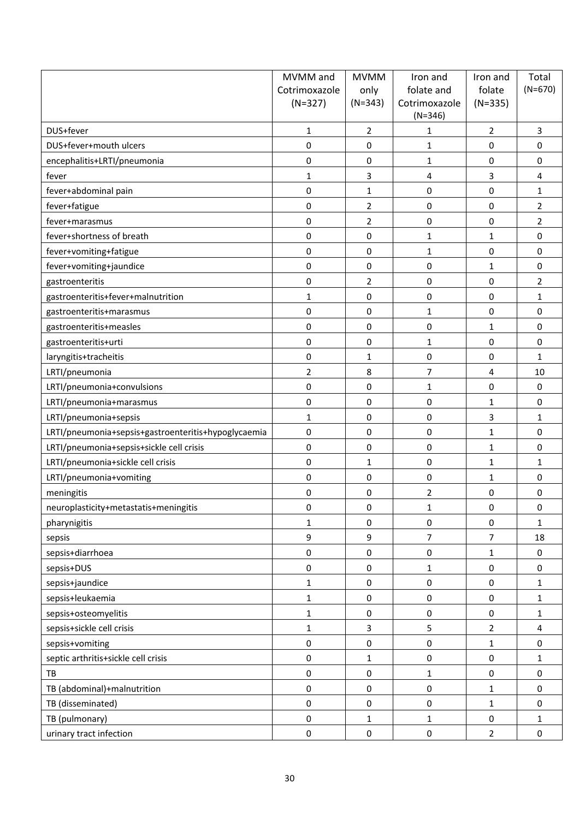|                                                     | MVMM and         | <b>MVMM</b>    | Iron and                   | Iron and                | Total          |
|-----------------------------------------------------|------------------|----------------|----------------------------|-------------------------|----------------|
|                                                     | Cotrimoxazole    | only           | folate and                 | folate                  | $(N=670)$      |
|                                                     | $(N=327)$        | $(N=343)$      | Cotrimoxazole<br>$(N=346)$ | $(N=335)$               |                |
| DUS+fever                                           | 1                | $\overline{2}$ | 1                          | $\overline{2}$          | 3              |
| DUS+fever+mouth ulcers                              | 0                | $\Omega$       | 1                          | $\boldsymbol{0}$        | 0              |
| encephalitis+LRTI/pneumonia                         | 0                | $\mathbf 0$    | $\mathbf 1$                | 0                       | 0              |
| fever                                               | $\mathbf{1}$     | 3              | 4                          | 3                       | 4              |
| fever+abdominal pain                                | 0                | $\mathbf{1}$   | $\pmb{0}$                  | $\boldsymbol{0}$        | $\mathbf{1}$   |
| fever+fatigue                                       | $\pmb{0}$        | $\overline{2}$ | 0                          | 0                       | 2              |
| fever+marasmus                                      | $\pmb{0}$        | $\overline{2}$ | 0                          | 0                       | 2              |
| fever+shortness of breath                           | 0                | $\mathbf 0$    | 1                          | $\mathbf{1}$            | 0              |
| fever+vomiting+fatigue                              | 0                | $\mathbf{0}$   | $\mathbf{1}$               | 0                       | 0              |
| fever+vomiting+jaundice                             | 0                | $\mathbf 0$    | 0                          | 1                       | 0              |
| gastroenteritis                                     | 0                | $\overline{2}$ | 0                          | 0                       | $\overline{2}$ |
| gastroenteritis+fever+malnutrition                  | $\mathbf{1}$     | $\mathbf 0$    | $\pmb{0}$                  | 0                       | $\mathbf{1}$   |
| gastroenteritis+marasmus                            | 0                | $\mathbf 0$    | 1                          | 0                       | 0              |
| gastroenteritis+measles                             | 0                | 0              | 0                          | $\mathbf{1}$            | 0              |
| gastroenteritis+urti                                | 0                | 0              | $\mathbf 1$                | 0                       | 0              |
| laryngitis+tracheitis                               | 0                | 1              | 0                          | 0                       | 1              |
| LRTI/pneumonia                                      | $\overline{2}$   | 8              | 7                          | $\overline{\mathbf{4}}$ | 10             |
| LRTI/pneumonia+convulsions                          | $\boldsymbol{0}$ | $\mathbf 0$    | $\mathbf{1}$               | 0                       | 0              |
| LRTI/pneumonia+marasmus                             | 0                | 0              | 0                          | $\mathbf{1}$            | 0              |
| LRTI/pneumonia+sepsis                               | 1                | 0              | 0                          | $\overline{3}$          | $\mathbf{1}$   |
| LRTI/pneumonia+sepsis+gastroenteritis+hypoglycaemia | 0                | $\mathbf 0$    | 0                          | $\mathbf{1}$            | 0              |
| LRTI/pneumonia+sepsis+sickle cell crisis            | 0                | $\mathbf 0$    | 0                          | $\mathbf{1}$            | 0              |
| LRTI/pneumonia+sickle cell crisis                   | $\boldsymbol{0}$ | 1              | 0                          | $\mathbf{1}$            | $\mathbf{1}$   |
| LRTI/pneumonia+vomiting                             | 0                | $\mathbf 0$    | $\boldsymbol{0}$           | $\mathbf{1}$            | 0              |
| meningitis                                          | 0                | 0              | 2                          | 0                       | 0              |
| neuroplasticity+metastatis+meningitis               | 0                | 0              | 1                          | 0                       | 0              |
| pharynigitis                                        | $\mathbf{1}$     | $\mathbf 0$    | 0                          | $\pmb{0}$               | $\mathbf{1}$   |
| sepsis                                              | 9                | 9              | 7                          | $\overline{7}$          | 18             |
| sepsis+diarrhoea                                    | 0                | $\pmb{0}$      | $\boldsymbol{0}$           | $\mathbf{1}$            | 0              |
| sepsis+DUS                                          | 0                | $\pmb{0}$      | 1                          | 0                       | 0              |
| sepsis+jaundice                                     | $\mathbf 1$      | $\pmb{0}$      | 0                          | 0                       | 1              |
| sepsis+leukaemia                                    | $\mathbf{1}$     | $\pmb{0}$      | 0                          | $\pmb{0}$               | $\mathbf{1}$   |
| sepsis+osteomyelitis                                | $\mathbf{1}$     | $\mathbf 0$    | $\pmb{0}$                  | $\pmb{0}$               | 1              |
| sepsis+sickle cell crisis                           | $\mathbf 1$      | 3              | 5                          | $\overline{2}$          | 4              |
| sepsis+vomiting                                     | $\pmb{0}$        | $\mathbf 0$    | $\pmb{0}$                  | $\mathbf{1}$            | 0              |
| septic arthritis+sickle cell crisis                 | 0                | 1              | 0                          | $\pmb{0}$               | 1              |
| TB                                                  | 0                | $\pmb{0}$      | $\mathbf{1}$               | 0                       | 0              |
| TB (abdominal)+malnutrition                         | 0                | $\mathbf 0$    | 0                          | $\mathbf{1}$            | 0              |
| TB (disseminated)                                   | 0                | $\mathbf 0$    | $\boldsymbol{0}$           | $\mathbf{1}$            | 0              |
| TB (pulmonary)                                      | $\pmb{0}$        | 1              | $\mathbf{1}$               | $\pmb{0}$               | 1              |
| urinary tract infection                             | 0                | 0              | $\boldsymbol{0}$           | $\mathbf 2$             | 0              |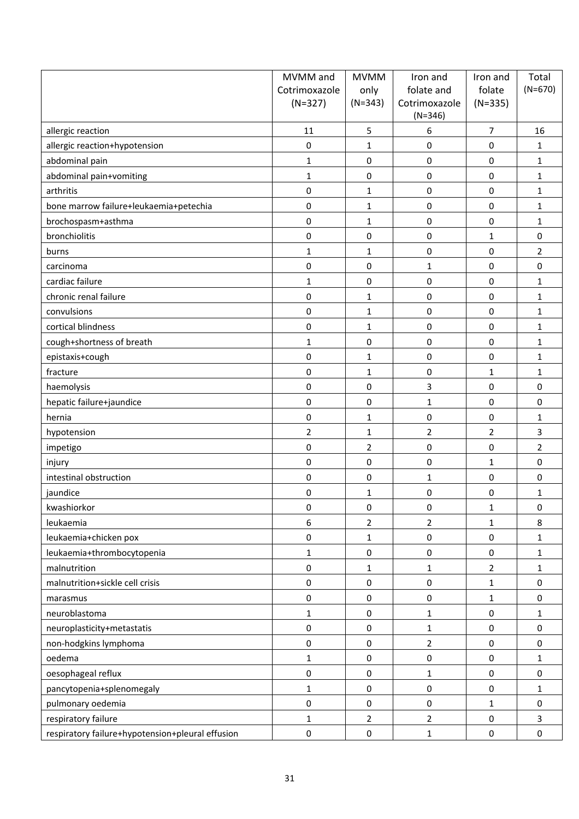| $(N=670)$<br>folate<br>Cotrimoxazole<br>only<br>folate and<br>$(N=327)$<br>$(N=343)$<br>$(N=335)$<br>Cotrimoxazole<br>$(N=346)$<br>5<br>6<br>$\overline{7}$<br>allergic reaction<br>11<br>16<br>0<br>0<br>0<br>allergic reaction+hypotension<br>1<br>1<br>$\boldsymbol{0}$<br>abdominal pain<br>0<br>$\mathbf{1}$<br>$\mathbf{1}$<br>0<br>abdominal pain+vomiting<br>$\mathbf{1}$<br>$\pmb{0}$<br>0<br>0<br>$\mathbf{1}$<br>$\pmb{0}$<br>$\boldsymbol{0}$<br>$\boldsymbol{0}$<br>arthritis<br>$\mathbf{1}$<br>$\mathbf{1}$<br>$\pmb{0}$<br>bone marrow failure+leukaemia+petechia<br>0<br>0<br>$\mathbf{1}$<br>1<br>$\boldsymbol{0}$<br>brochospasm+asthma<br>$\mathbf{1}$<br>0<br>0<br>$\mathbf{1}$<br>bronchiolitis<br>$\boldsymbol{0}$<br>0<br>$\mathbf 0$<br>0<br>$\mathbf{1}$<br>0<br>0<br>2<br>$\mathbf{1}$<br>burns<br>1<br>0<br>$\mathbf 0$<br>$\mathbf{1}$<br>0<br>0<br>carcinoma<br>cardiac failure<br>$\mathbf{1}$<br>$\boldsymbol{0}$<br>$\mathbf 0$<br>0<br>$\mathbf{1}$<br>$\boldsymbol{0}$<br>$\boldsymbol{0}$<br>$\boldsymbol{0}$<br>chronic renal failure<br>$\mathbf{1}$<br>1<br>convulsions<br>0<br>0<br>0<br>$\mathbf{1}$<br>$\mathbf{1}$<br>$\pmb{0}$<br>$\boldsymbol{0}$<br>cortical blindness<br>$\mathbf{1}$<br>0<br>$\mathbf{1}$<br>cough+shortness of breath<br>$\mathbf{1}$<br>$\mathbf 0$<br>0<br>0<br>$\mathbf{1}$<br>epistaxis+cough<br>0<br>0<br>0<br>1<br>1<br>$\pmb{0}$<br>$\boldsymbol{0}$<br>$\mathbf{1}$<br>$\mathbf{1}$<br>$\mathbf{1}$<br>fracture<br>$\pmb{0}$<br>3<br>0<br>$\mathbf 0$<br>0<br>haemolysis<br>$\boldsymbol{0}$<br>hepatic failure+jaundice<br>$\mathbf 0$<br>$\mathbf{1}$<br>0<br>0<br>hernia<br>0<br>$\mathbf{1}$<br>0<br>0<br>$\mathbf{1}$<br>$\overline{2}$<br>3<br>$\overline{2}$<br>$\mathbf 2$<br>hypotension<br>1<br>$\overline{2}$<br>0<br>2<br>0<br>0<br>impetigo<br>$\boldsymbol{0}$<br>$\boldsymbol{0}$<br>$\mathbf 0$<br>$\mathbf{1}$<br>0<br>injury<br>$\boldsymbol{0}$<br>$\boldsymbol{0}$<br>0<br>intestinal obstruction<br>$\pmb{0}$<br>$\mathbf 1$<br>0<br>0<br>0<br>jaundice<br>1<br>1<br>kwashiorkor<br>0<br>0<br>0<br>1<br>0<br>6<br>$\overline{2}$<br>8<br>leukaemia<br>2<br>$\mathbf{1}$<br>leukaemia+chicken pox<br>0<br>0<br>$\pmb{0}$<br>1<br>1<br>$\pmb{0}$<br>leukaemia+thrombocytopenia<br>$\mathbf 1$<br>$\pmb{0}$<br>$\pmb{0}$<br>$\mathbf 1$<br>malnutrition<br>0<br>$\overline{2}$<br>1<br>$\mathbf{1}$<br>1<br>malnutrition+sickle cell crisis<br>$\pmb{0}$<br>$\pmb{0}$<br>$\pmb{0}$<br>$\mathbf 1$<br>0<br>$\pmb{0}$<br>$\pmb{0}$<br>0<br>$\mathbf{1}$<br>0<br>marasmus<br>neuroblastoma<br>$\mathbf{1}$<br>0<br>1<br>$\pmb{0}$<br>1<br>neuroplasticity+metastatis<br>0<br>$\pmb{0}$<br>$\pmb{0}$<br>0<br>1<br>$\pmb{0}$<br>non-hodgkins lymphoma<br>$\overline{2}$<br>$\pmb{0}$<br>$\mathbf 0$<br>0<br>oedema<br>$\pmb{0}$<br>$\pmb{0}$<br>$\mathbf{1}$<br>0<br>1<br>oesophageal reflux<br>0<br>$\pmb{0}$<br>0<br>0<br>$\mathbf{1}$ | MVMM and | <b>MVMM</b> | Iron and | Iron and | Total |
|--------------------------------------------------------------------------------------------------------------------------------------------------------------------------------------------------------------------------------------------------------------------------------------------------------------------------------------------------------------------------------------------------------------------------------------------------------------------------------------------------------------------------------------------------------------------------------------------------------------------------------------------------------------------------------------------------------------------------------------------------------------------------------------------------------------------------------------------------------------------------------------------------------------------------------------------------------------------------------------------------------------------------------------------------------------------------------------------------------------------------------------------------------------------------------------------------------------------------------------------------------------------------------------------------------------------------------------------------------------------------------------------------------------------------------------------------------------------------------------------------------------------------------------------------------------------------------------------------------------------------------------------------------------------------------------------------------------------------------------------------------------------------------------------------------------------------------------------------------------------------------------------------------------------------------------------------------------------------------------------------------------------------------------------------------------------------------------------------------------------------------------------------------------------------------------------------------------------------------------------------------------------------------------------------------------------------------------------------------------------------------------------------------------------------------------------------------------------------------------------------------------------------------------------------------------------------------------------------------------------------------------------------------------------------------------------------------------------------------------------------------------------------------------------------------------------------------------------------------------------------------------------------------------------------------|----------|-------------|----------|----------|-------|
|                                                                                                                                                                                                                                                                                                                                                                                                                                                                                                                                                                                                                                                                                                                                                                                                                                                                                                                                                                                                                                                                                                                                                                                                                                                                                                                                                                                                                                                                                                                                                                                                                                                                                                                                                                                                                                                                                                                                                                                                                                                                                                                                                                                                                                                                                                                                                                                                                                                                                                                                                                                                                                                                                                                                                                                                                                                                                                                                |          |             |          |          |       |
|                                                                                                                                                                                                                                                                                                                                                                                                                                                                                                                                                                                                                                                                                                                                                                                                                                                                                                                                                                                                                                                                                                                                                                                                                                                                                                                                                                                                                                                                                                                                                                                                                                                                                                                                                                                                                                                                                                                                                                                                                                                                                                                                                                                                                                                                                                                                                                                                                                                                                                                                                                                                                                                                                                                                                                                                                                                                                                                                |          |             |          |          |       |
|                                                                                                                                                                                                                                                                                                                                                                                                                                                                                                                                                                                                                                                                                                                                                                                                                                                                                                                                                                                                                                                                                                                                                                                                                                                                                                                                                                                                                                                                                                                                                                                                                                                                                                                                                                                                                                                                                                                                                                                                                                                                                                                                                                                                                                                                                                                                                                                                                                                                                                                                                                                                                                                                                                                                                                                                                                                                                                                                |          |             |          |          |       |
|                                                                                                                                                                                                                                                                                                                                                                                                                                                                                                                                                                                                                                                                                                                                                                                                                                                                                                                                                                                                                                                                                                                                                                                                                                                                                                                                                                                                                                                                                                                                                                                                                                                                                                                                                                                                                                                                                                                                                                                                                                                                                                                                                                                                                                                                                                                                                                                                                                                                                                                                                                                                                                                                                                                                                                                                                                                                                                                                |          |             |          |          |       |
|                                                                                                                                                                                                                                                                                                                                                                                                                                                                                                                                                                                                                                                                                                                                                                                                                                                                                                                                                                                                                                                                                                                                                                                                                                                                                                                                                                                                                                                                                                                                                                                                                                                                                                                                                                                                                                                                                                                                                                                                                                                                                                                                                                                                                                                                                                                                                                                                                                                                                                                                                                                                                                                                                                                                                                                                                                                                                                                                |          |             |          |          |       |
|                                                                                                                                                                                                                                                                                                                                                                                                                                                                                                                                                                                                                                                                                                                                                                                                                                                                                                                                                                                                                                                                                                                                                                                                                                                                                                                                                                                                                                                                                                                                                                                                                                                                                                                                                                                                                                                                                                                                                                                                                                                                                                                                                                                                                                                                                                                                                                                                                                                                                                                                                                                                                                                                                                                                                                                                                                                                                                                                |          |             |          |          |       |
|                                                                                                                                                                                                                                                                                                                                                                                                                                                                                                                                                                                                                                                                                                                                                                                                                                                                                                                                                                                                                                                                                                                                                                                                                                                                                                                                                                                                                                                                                                                                                                                                                                                                                                                                                                                                                                                                                                                                                                                                                                                                                                                                                                                                                                                                                                                                                                                                                                                                                                                                                                                                                                                                                                                                                                                                                                                                                                                                |          |             |          |          |       |
|                                                                                                                                                                                                                                                                                                                                                                                                                                                                                                                                                                                                                                                                                                                                                                                                                                                                                                                                                                                                                                                                                                                                                                                                                                                                                                                                                                                                                                                                                                                                                                                                                                                                                                                                                                                                                                                                                                                                                                                                                                                                                                                                                                                                                                                                                                                                                                                                                                                                                                                                                                                                                                                                                                                                                                                                                                                                                                                                |          |             |          |          |       |
|                                                                                                                                                                                                                                                                                                                                                                                                                                                                                                                                                                                                                                                                                                                                                                                                                                                                                                                                                                                                                                                                                                                                                                                                                                                                                                                                                                                                                                                                                                                                                                                                                                                                                                                                                                                                                                                                                                                                                                                                                                                                                                                                                                                                                                                                                                                                                                                                                                                                                                                                                                                                                                                                                                                                                                                                                                                                                                                                |          |             |          |          |       |
|                                                                                                                                                                                                                                                                                                                                                                                                                                                                                                                                                                                                                                                                                                                                                                                                                                                                                                                                                                                                                                                                                                                                                                                                                                                                                                                                                                                                                                                                                                                                                                                                                                                                                                                                                                                                                                                                                                                                                                                                                                                                                                                                                                                                                                                                                                                                                                                                                                                                                                                                                                                                                                                                                                                                                                                                                                                                                                                                |          |             |          |          |       |
|                                                                                                                                                                                                                                                                                                                                                                                                                                                                                                                                                                                                                                                                                                                                                                                                                                                                                                                                                                                                                                                                                                                                                                                                                                                                                                                                                                                                                                                                                                                                                                                                                                                                                                                                                                                                                                                                                                                                                                                                                                                                                                                                                                                                                                                                                                                                                                                                                                                                                                                                                                                                                                                                                                                                                                                                                                                                                                                                |          |             |          |          |       |
|                                                                                                                                                                                                                                                                                                                                                                                                                                                                                                                                                                                                                                                                                                                                                                                                                                                                                                                                                                                                                                                                                                                                                                                                                                                                                                                                                                                                                                                                                                                                                                                                                                                                                                                                                                                                                                                                                                                                                                                                                                                                                                                                                                                                                                                                                                                                                                                                                                                                                                                                                                                                                                                                                                                                                                                                                                                                                                                                |          |             |          |          |       |
|                                                                                                                                                                                                                                                                                                                                                                                                                                                                                                                                                                                                                                                                                                                                                                                                                                                                                                                                                                                                                                                                                                                                                                                                                                                                                                                                                                                                                                                                                                                                                                                                                                                                                                                                                                                                                                                                                                                                                                                                                                                                                                                                                                                                                                                                                                                                                                                                                                                                                                                                                                                                                                                                                                                                                                                                                                                                                                                                |          |             |          |          |       |
|                                                                                                                                                                                                                                                                                                                                                                                                                                                                                                                                                                                                                                                                                                                                                                                                                                                                                                                                                                                                                                                                                                                                                                                                                                                                                                                                                                                                                                                                                                                                                                                                                                                                                                                                                                                                                                                                                                                                                                                                                                                                                                                                                                                                                                                                                                                                                                                                                                                                                                                                                                                                                                                                                                                                                                                                                                                                                                                                |          |             |          |          |       |
|                                                                                                                                                                                                                                                                                                                                                                                                                                                                                                                                                                                                                                                                                                                                                                                                                                                                                                                                                                                                                                                                                                                                                                                                                                                                                                                                                                                                                                                                                                                                                                                                                                                                                                                                                                                                                                                                                                                                                                                                                                                                                                                                                                                                                                                                                                                                                                                                                                                                                                                                                                                                                                                                                                                                                                                                                                                                                                                                |          |             |          |          |       |
|                                                                                                                                                                                                                                                                                                                                                                                                                                                                                                                                                                                                                                                                                                                                                                                                                                                                                                                                                                                                                                                                                                                                                                                                                                                                                                                                                                                                                                                                                                                                                                                                                                                                                                                                                                                                                                                                                                                                                                                                                                                                                                                                                                                                                                                                                                                                                                                                                                                                                                                                                                                                                                                                                                                                                                                                                                                                                                                                |          |             |          |          |       |
|                                                                                                                                                                                                                                                                                                                                                                                                                                                                                                                                                                                                                                                                                                                                                                                                                                                                                                                                                                                                                                                                                                                                                                                                                                                                                                                                                                                                                                                                                                                                                                                                                                                                                                                                                                                                                                                                                                                                                                                                                                                                                                                                                                                                                                                                                                                                                                                                                                                                                                                                                                                                                                                                                                                                                                                                                                                                                                                                |          |             |          |          |       |
|                                                                                                                                                                                                                                                                                                                                                                                                                                                                                                                                                                                                                                                                                                                                                                                                                                                                                                                                                                                                                                                                                                                                                                                                                                                                                                                                                                                                                                                                                                                                                                                                                                                                                                                                                                                                                                                                                                                                                                                                                                                                                                                                                                                                                                                                                                                                                                                                                                                                                                                                                                                                                                                                                                                                                                                                                                                                                                                                |          |             |          |          |       |
|                                                                                                                                                                                                                                                                                                                                                                                                                                                                                                                                                                                                                                                                                                                                                                                                                                                                                                                                                                                                                                                                                                                                                                                                                                                                                                                                                                                                                                                                                                                                                                                                                                                                                                                                                                                                                                                                                                                                                                                                                                                                                                                                                                                                                                                                                                                                                                                                                                                                                                                                                                                                                                                                                                                                                                                                                                                                                                                                |          |             |          |          |       |
|                                                                                                                                                                                                                                                                                                                                                                                                                                                                                                                                                                                                                                                                                                                                                                                                                                                                                                                                                                                                                                                                                                                                                                                                                                                                                                                                                                                                                                                                                                                                                                                                                                                                                                                                                                                                                                                                                                                                                                                                                                                                                                                                                                                                                                                                                                                                                                                                                                                                                                                                                                                                                                                                                                                                                                                                                                                                                                                                |          |             |          |          |       |
|                                                                                                                                                                                                                                                                                                                                                                                                                                                                                                                                                                                                                                                                                                                                                                                                                                                                                                                                                                                                                                                                                                                                                                                                                                                                                                                                                                                                                                                                                                                                                                                                                                                                                                                                                                                                                                                                                                                                                                                                                                                                                                                                                                                                                                                                                                                                                                                                                                                                                                                                                                                                                                                                                                                                                                                                                                                                                                                                |          |             |          |          |       |
|                                                                                                                                                                                                                                                                                                                                                                                                                                                                                                                                                                                                                                                                                                                                                                                                                                                                                                                                                                                                                                                                                                                                                                                                                                                                                                                                                                                                                                                                                                                                                                                                                                                                                                                                                                                                                                                                                                                                                                                                                                                                                                                                                                                                                                                                                                                                                                                                                                                                                                                                                                                                                                                                                                                                                                                                                                                                                                                                |          |             |          |          |       |
|                                                                                                                                                                                                                                                                                                                                                                                                                                                                                                                                                                                                                                                                                                                                                                                                                                                                                                                                                                                                                                                                                                                                                                                                                                                                                                                                                                                                                                                                                                                                                                                                                                                                                                                                                                                                                                                                                                                                                                                                                                                                                                                                                                                                                                                                                                                                                                                                                                                                                                                                                                                                                                                                                                                                                                                                                                                                                                                                |          |             |          |          |       |
|                                                                                                                                                                                                                                                                                                                                                                                                                                                                                                                                                                                                                                                                                                                                                                                                                                                                                                                                                                                                                                                                                                                                                                                                                                                                                                                                                                                                                                                                                                                                                                                                                                                                                                                                                                                                                                                                                                                                                                                                                                                                                                                                                                                                                                                                                                                                                                                                                                                                                                                                                                                                                                                                                                                                                                                                                                                                                                                                |          |             |          |          |       |
|                                                                                                                                                                                                                                                                                                                                                                                                                                                                                                                                                                                                                                                                                                                                                                                                                                                                                                                                                                                                                                                                                                                                                                                                                                                                                                                                                                                                                                                                                                                                                                                                                                                                                                                                                                                                                                                                                                                                                                                                                                                                                                                                                                                                                                                                                                                                                                                                                                                                                                                                                                                                                                                                                                                                                                                                                                                                                                                                |          |             |          |          |       |
|                                                                                                                                                                                                                                                                                                                                                                                                                                                                                                                                                                                                                                                                                                                                                                                                                                                                                                                                                                                                                                                                                                                                                                                                                                                                                                                                                                                                                                                                                                                                                                                                                                                                                                                                                                                                                                                                                                                                                                                                                                                                                                                                                                                                                                                                                                                                                                                                                                                                                                                                                                                                                                                                                                                                                                                                                                                                                                                                |          |             |          |          |       |
|                                                                                                                                                                                                                                                                                                                                                                                                                                                                                                                                                                                                                                                                                                                                                                                                                                                                                                                                                                                                                                                                                                                                                                                                                                                                                                                                                                                                                                                                                                                                                                                                                                                                                                                                                                                                                                                                                                                                                                                                                                                                                                                                                                                                                                                                                                                                                                                                                                                                                                                                                                                                                                                                                                                                                                                                                                                                                                                                |          |             |          |          |       |
|                                                                                                                                                                                                                                                                                                                                                                                                                                                                                                                                                                                                                                                                                                                                                                                                                                                                                                                                                                                                                                                                                                                                                                                                                                                                                                                                                                                                                                                                                                                                                                                                                                                                                                                                                                                                                                                                                                                                                                                                                                                                                                                                                                                                                                                                                                                                                                                                                                                                                                                                                                                                                                                                                                                                                                                                                                                                                                                                |          |             |          |          |       |
|                                                                                                                                                                                                                                                                                                                                                                                                                                                                                                                                                                                                                                                                                                                                                                                                                                                                                                                                                                                                                                                                                                                                                                                                                                                                                                                                                                                                                                                                                                                                                                                                                                                                                                                                                                                                                                                                                                                                                                                                                                                                                                                                                                                                                                                                                                                                                                                                                                                                                                                                                                                                                                                                                                                                                                                                                                                                                                                                |          |             |          |          |       |
|                                                                                                                                                                                                                                                                                                                                                                                                                                                                                                                                                                                                                                                                                                                                                                                                                                                                                                                                                                                                                                                                                                                                                                                                                                                                                                                                                                                                                                                                                                                                                                                                                                                                                                                                                                                                                                                                                                                                                                                                                                                                                                                                                                                                                                                                                                                                                                                                                                                                                                                                                                                                                                                                                                                                                                                                                                                                                                                                |          |             |          |          |       |
|                                                                                                                                                                                                                                                                                                                                                                                                                                                                                                                                                                                                                                                                                                                                                                                                                                                                                                                                                                                                                                                                                                                                                                                                                                                                                                                                                                                                                                                                                                                                                                                                                                                                                                                                                                                                                                                                                                                                                                                                                                                                                                                                                                                                                                                                                                                                                                                                                                                                                                                                                                                                                                                                                                                                                                                                                                                                                                                                |          |             |          |          |       |
|                                                                                                                                                                                                                                                                                                                                                                                                                                                                                                                                                                                                                                                                                                                                                                                                                                                                                                                                                                                                                                                                                                                                                                                                                                                                                                                                                                                                                                                                                                                                                                                                                                                                                                                                                                                                                                                                                                                                                                                                                                                                                                                                                                                                                                                                                                                                                                                                                                                                                                                                                                                                                                                                                                                                                                                                                                                                                                                                |          |             |          |          |       |
|                                                                                                                                                                                                                                                                                                                                                                                                                                                                                                                                                                                                                                                                                                                                                                                                                                                                                                                                                                                                                                                                                                                                                                                                                                                                                                                                                                                                                                                                                                                                                                                                                                                                                                                                                                                                                                                                                                                                                                                                                                                                                                                                                                                                                                                                                                                                                                                                                                                                                                                                                                                                                                                                                                                                                                                                                                                                                                                                |          |             |          |          |       |
|                                                                                                                                                                                                                                                                                                                                                                                                                                                                                                                                                                                                                                                                                                                                                                                                                                                                                                                                                                                                                                                                                                                                                                                                                                                                                                                                                                                                                                                                                                                                                                                                                                                                                                                                                                                                                                                                                                                                                                                                                                                                                                                                                                                                                                                                                                                                                                                                                                                                                                                                                                                                                                                                                                                                                                                                                                                                                                                                |          |             |          |          |       |
|                                                                                                                                                                                                                                                                                                                                                                                                                                                                                                                                                                                                                                                                                                                                                                                                                                                                                                                                                                                                                                                                                                                                                                                                                                                                                                                                                                                                                                                                                                                                                                                                                                                                                                                                                                                                                                                                                                                                                                                                                                                                                                                                                                                                                                                                                                                                                                                                                                                                                                                                                                                                                                                                                                                                                                                                                                                                                                                                |          |             |          |          |       |
|                                                                                                                                                                                                                                                                                                                                                                                                                                                                                                                                                                                                                                                                                                                                                                                                                                                                                                                                                                                                                                                                                                                                                                                                                                                                                                                                                                                                                                                                                                                                                                                                                                                                                                                                                                                                                                                                                                                                                                                                                                                                                                                                                                                                                                                                                                                                                                                                                                                                                                                                                                                                                                                                                                                                                                                                                                                                                                                                |          |             |          |          |       |
|                                                                                                                                                                                                                                                                                                                                                                                                                                                                                                                                                                                                                                                                                                                                                                                                                                                                                                                                                                                                                                                                                                                                                                                                                                                                                                                                                                                                                                                                                                                                                                                                                                                                                                                                                                                                                                                                                                                                                                                                                                                                                                                                                                                                                                                                                                                                                                                                                                                                                                                                                                                                                                                                                                                                                                                                                                                                                                                                |          |             |          |          |       |
|                                                                                                                                                                                                                                                                                                                                                                                                                                                                                                                                                                                                                                                                                                                                                                                                                                                                                                                                                                                                                                                                                                                                                                                                                                                                                                                                                                                                                                                                                                                                                                                                                                                                                                                                                                                                                                                                                                                                                                                                                                                                                                                                                                                                                                                                                                                                                                                                                                                                                                                                                                                                                                                                                                                                                                                                                                                                                                                                |          |             |          |          |       |
|                                                                                                                                                                                                                                                                                                                                                                                                                                                                                                                                                                                                                                                                                                                                                                                                                                                                                                                                                                                                                                                                                                                                                                                                                                                                                                                                                                                                                                                                                                                                                                                                                                                                                                                                                                                                                                                                                                                                                                                                                                                                                                                                                                                                                                                                                                                                                                                                                                                                                                                                                                                                                                                                                                                                                                                                                                                                                                                                |          |             |          |          |       |
|                                                                                                                                                                                                                                                                                                                                                                                                                                                                                                                                                                                                                                                                                                                                                                                                                                                                                                                                                                                                                                                                                                                                                                                                                                                                                                                                                                                                                                                                                                                                                                                                                                                                                                                                                                                                                                                                                                                                                                                                                                                                                                                                                                                                                                                                                                                                                                                                                                                                                                                                                                                                                                                                                                                                                                                                                                                                                                                                |          |             |          |          |       |
| pancytopenia+splenomegaly<br>$\mathbf{1}$<br>0<br>0<br>0<br>1                                                                                                                                                                                                                                                                                                                                                                                                                                                                                                                                                                                                                                                                                                                                                                                                                                                                                                                                                                                                                                                                                                                                                                                                                                                                                                                                                                                                                                                                                                                                                                                                                                                                                                                                                                                                                                                                                                                                                                                                                                                                                                                                                                                                                                                                                                                                                                                                                                                                                                                                                                                                                                                                                                                                                                                                                                                                  |          |             |          |          |       |
| pulmonary oedemia<br>$\pmb{0}$<br>0<br>0<br>0<br>$\mathbf{1}$                                                                                                                                                                                                                                                                                                                                                                                                                                                                                                                                                                                                                                                                                                                                                                                                                                                                                                                                                                                                                                                                                                                                                                                                                                                                                                                                                                                                                                                                                                                                                                                                                                                                                                                                                                                                                                                                                                                                                                                                                                                                                                                                                                                                                                                                                                                                                                                                                                                                                                                                                                                                                                                                                                                                                                                                                                                                  |          |             |          |          |       |
| respiratory failure<br>$\mathbf{1}$<br>$\overline{2}$<br>$\overline{2}$<br>$\pmb{0}$<br>3                                                                                                                                                                                                                                                                                                                                                                                                                                                                                                                                                                                                                                                                                                                                                                                                                                                                                                                                                                                                                                                                                                                                                                                                                                                                                                                                                                                                                                                                                                                                                                                                                                                                                                                                                                                                                                                                                                                                                                                                                                                                                                                                                                                                                                                                                                                                                                                                                                                                                                                                                                                                                                                                                                                                                                                                                                      |          |             |          |          |       |
| respiratory failure+hypotension+pleural effusion<br>$\pmb{0}$<br>$\pmb{0}$<br>$\mathbf{1}$<br>$\pmb{0}$<br>0                                                                                                                                                                                                                                                                                                                                                                                                                                                                                                                                                                                                                                                                                                                                                                                                                                                                                                                                                                                                                                                                                                                                                                                                                                                                                                                                                                                                                                                                                                                                                                                                                                                                                                                                                                                                                                                                                                                                                                                                                                                                                                                                                                                                                                                                                                                                                                                                                                                                                                                                                                                                                                                                                                                                                                                                                   |          |             |          |          |       |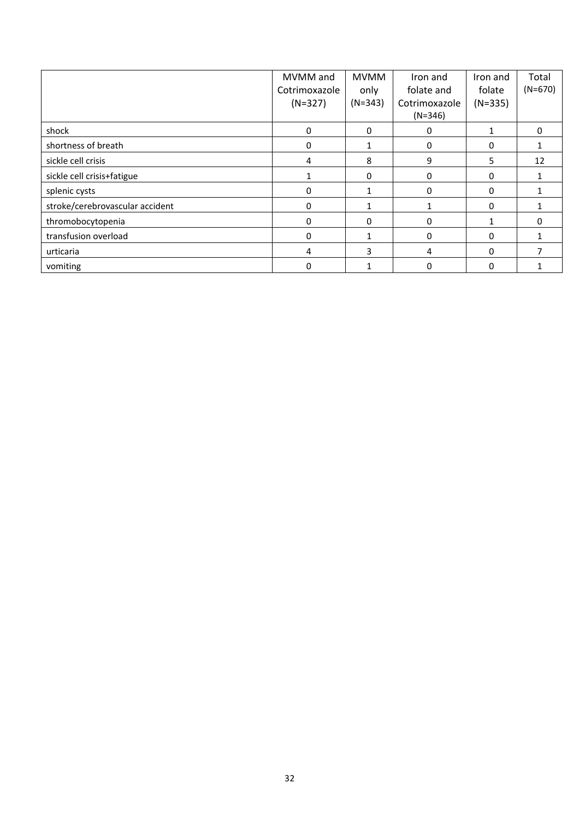|                                 | MVMM and      | <b>MVMM</b> | Iron and      | Iron and  | Total     |
|---------------------------------|---------------|-------------|---------------|-----------|-----------|
|                                 | Cotrimoxazole | only        | folate and    | folate    | $(N=670)$ |
|                                 | $(N=327)$     | $(N=343)$   | Cotrimoxazole | $(N=335)$ |           |
|                                 |               |             | $(N=346)$     |           |           |
| shock                           | 0             | $\Omega$    | 0             | 1         | 0         |
| shortness of breath             | 0             |             | $\Omega$      | 0         |           |
| sickle cell crisis              | 4             | 8           | 9             | 5         | 12        |
| sickle cell crisis+fatigue      |               | $\Omega$    | $\Omega$      | 0         |           |
| splenic cysts                   | $\Omega$      |             | 0             | 0         |           |
| stroke/cerebrovascular accident | $\Omega$      |             |               | 0         |           |
| thromobocytopenia               | 0             | $\Omega$    | $\Omega$      |           | 0         |
| transfusion overload            | $\Omega$      |             | $\Omega$      | $\Omega$  |           |
| urticaria                       | 4             | 3           | 4             | 0         |           |
| vomiting                        | 0             |             | 0             | 0         |           |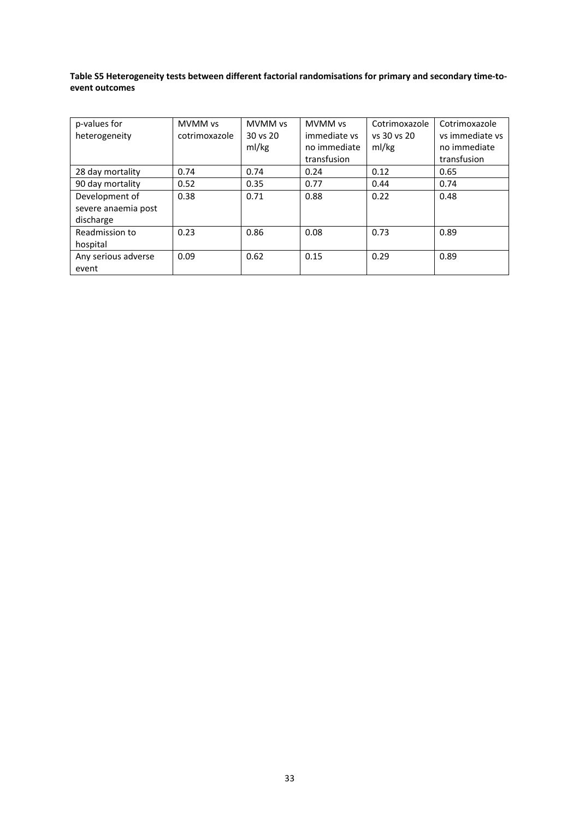# **Table S5 Heterogeneity tests between different factorial randomisations for primary and secondary time‐to‐ event outcomes**

| p-values for        | <b>MVMM vs</b> | <b>MVMM vs</b> | MVMM vs      | Cotrimoxazole | Cotrimoxazole   |
|---------------------|----------------|----------------|--------------|---------------|-----------------|
| heterogeneity       | cotrimoxazole  | 30 vs 20       | immediate vs | vs 30 vs 20   | vs immediate vs |
|                     |                | ml/kg          | no immediate | ml/kg         | no immediate    |
|                     |                |                | transfusion  |               | transfusion     |
| 28 day mortality    | 0.74           | 0.74           | 0.24         | 0.12          | 0.65            |
| 90 day mortality    | 0.52           | 0.35           | 0.77         | 0.44          | 0.74            |
| Development of      | 0.38           | 0.71           | 0.88         | 0.22          | 0.48            |
| severe anaemia post |                |                |              |               |                 |
| discharge           |                |                |              |               |                 |
| Readmission to      | 0.23           | 0.86           | 0.08         | 0.73          | 0.89            |
| hospital            |                |                |              |               |                 |
| Any serious adverse | 0.09           | 0.62           | 0.15         | 0.29          | 0.89            |
| event               |                |                |              |               |                 |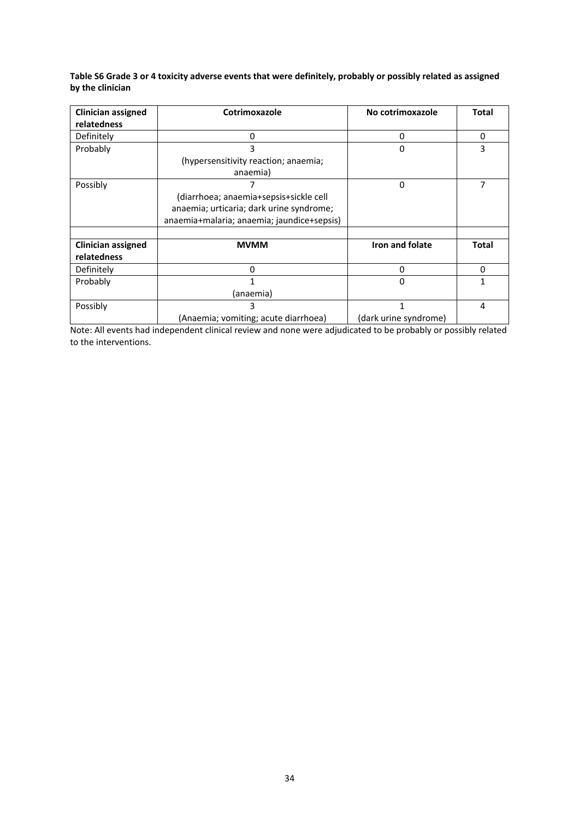Table S6 Grade 3 or 4 toxicity adverse events that were definitely, probably or possibly related as assigned **by the clinician**

| <b>Clinician assigned</b> | Cotrimoxazole                              | No cotrimoxazole      | <b>Total</b> |
|---------------------------|--------------------------------------------|-----------------------|--------------|
| relatedness               |                                            |                       |              |
| Definitely                | 0                                          | 0                     | $\Omega$     |
| Probably                  | 3                                          | 0                     | 3            |
|                           | (hypersensitivity reaction; anaemia;       |                       |              |
|                           | anaemia)                                   |                       |              |
| Possibly                  |                                            | 0                     | 7            |
|                           | (diarrhoea; anaemia+sepsis+sickle cell     |                       |              |
|                           | anaemia; urticaria; dark urine syndrome;   |                       |              |
|                           | anaemia+malaria; anaemia; jaundice+sepsis) |                       |              |
|                           |                                            |                       |              |
| <b>Clinician assigned</b> | <b>MVMM</b>                                | Iron and folate       | Total        |
| relatedness               |                                            |                       |              |
| Definitely                | 0                                          | 0                     | 0            |
| Probably                  |                                            | $\Omega$              | 1            |
|                           | (anaemia)                                  |                       |              |
| Possibly                  | 3                                          | 1                     | 4            |
|                           | (Anaemia; vomiting; acute diarrhoea)       | (dark urine syndrome) |              |

Note: All events had independent clinical review and none were adjudicated to be probably or possibly related to the interventions.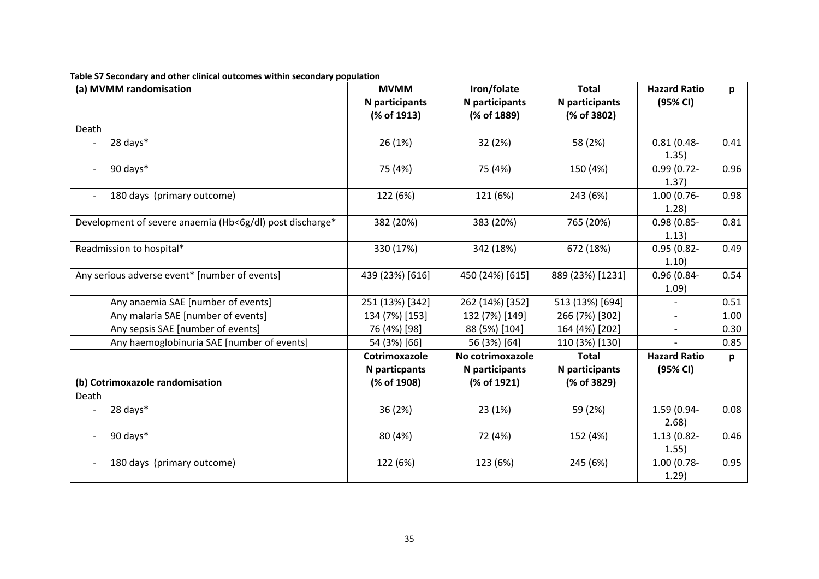| (a) MVMM randomisation                                   | <b>MVMM</b>                   | Iron/folate                   | <b>Total</b>                  | <b>Hazard Ratio</b>      | p    |
|----------------------------------------------------------|-------------------------------|-------------------------------|-------------------------------|--------------------------|------|
|                                                          | N participants<br>(% of 1913) | N participants<br>(% of 1889) | N participants<br>(% of 3802) | (95% CI)                 |      |
| Death                                                    |                               |                               |                               |                          |      |
| 28 days*                                                 | 26 (1%)                       | 32 (2%)                       | 58 (2%)                       | $0.81(0.48 -$<br>1.35)   | 0.41 |
| 90 days*                                                 | 75 (4%)                       | 75 (4%)                       | 150 (4%)                      | $0.99(0.72 -$<br>1.37)   | 0.96 |
| 180 days (primary outcome)                               | 122 (6%)                      | 121 (6%)                      | 243 (6%)                      | $1.00(0.76 -$<br>1.28    | 0.98 |
| Development of severe anaemia (Hb<6g/dl) post discharge* | 382 (20%)                     | 383 (20%)                     | 765 (20%)                     | $0.98(0.85 -$<br>1.13)   | 0.81 |
| Readmission to hospital*                                 | 330 (17%)                     | 342 (18%)                     | 672 (18%)                     | $0.95(0.82 -$<br>1.10)   | 0.49 |
| Any serious adverse event* [number of events]            | 439 (23%) [616]               | 450 (24%) [615]               | 889 (23%) [1231]              | 0.96 (0.84-<br>1.09)     | 0.54 |
| Any anaemia SAE [number of events]                       | 251 (13%) [342]               | 262 (14%) [352]               | 513 (13%) [694]               |                          | 0.51 |
| Any malaria SAE [number of events]                       | 134 (7%) [153]                | 132 (7%) [149]                | 266 (7%) [302]                | $\overline{\phantom{0}}$ | 1.00 |
| Any sepsis SAE [number of events]                        | 76 (4%) [98]                  | 88 (5%) [104]                 | 164 (4%) [202]                | $\overline{\phantom{a}}$ | 0.30 |
| Any haemoglobinuria SAE [number of events]               | 54 (3%) [66]                  | 56 (3%) [64]                  | 110 (3%) [130]                |                          | 0.85 |
|                                                          | Cotrimoxazole                 | No cotrimoxazole              | <b>Total</b>                  | <b>Hazard Ratio</b>      | p    |
| (b) Cotrimoxazole randomisation                          | N particpants<br>(% of 1908)  | N participants<br>(% of 1921) | N participants<br>(% of 3829) | (95% CI)                 |      |
| Death                                                    |                               |                               |                               |                          |      |
| 28 days*                                                 | 36 (2%)                       | 23 (1%)                       | 59 (2%)                       | 1.59 (0.94-<br>2.68      | 0.08 |
| 90 days*                                                 | 80 (4%)                       | 72 (4%)                       | 152 (4%)                      | $1.13(0.82 -$<br>1.55)   | 0.46 |
| 180 days (primary outcome)                               | 122 (6%)                      | 123 (6%)                      | 245 (6%)                      | 1.00 (0.78-<br>1.29)     | 0.95 |

#### **Table S7 Secondary and other clinical outcomes within secondary population**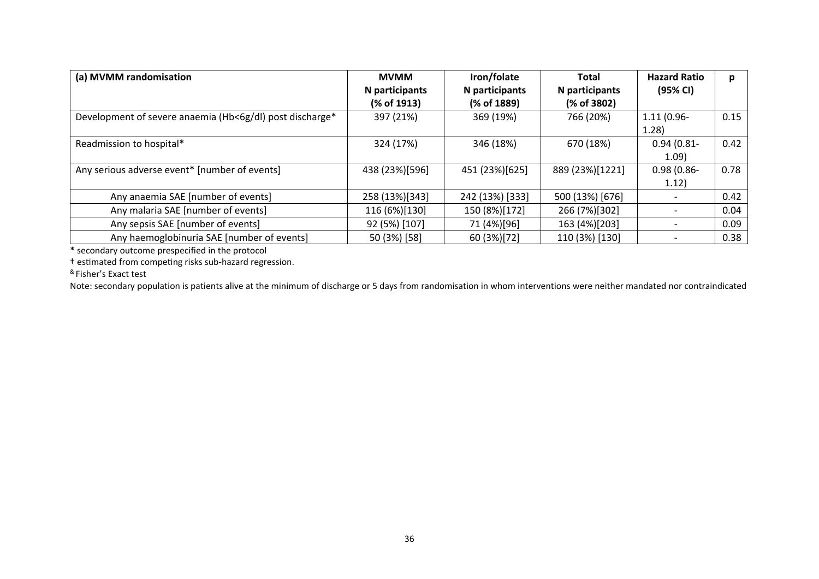| (a) MVMM randomisation                                   | <b>MVMM</b>    | Iron/folate     | <b>Total</b>    | <b>Hazard Ratio</b> | p    |
|----------------------------------------------------------|----------------|-----------------|-----------------|---------------------|------|
|                                                          | N participants | N participants  | N participants  | (95% CI)            |      |
|                                                          | (% of 1913)    | (% of 1889)     | (% of 3802)     |                     |      |
| Development of severe anaemia (Hb<6g/dl) post discharge* | 397 (21%)      | 369 (19%)       | 766 (20%)       | $1.11(0.96 -$       | 0.15 |
|                                                          |                |                 |                 | 1.28)               |      |
| Readmission to hospital*                                 | 324 (17%)      | 346 (18%)       | 670 (18%)       | $0.94(0.81 -$       | 0.42 |
|                                                          |                |                 |                 | (1.09)              |      |
| Any serious adverse event* [number of events]            | 438 (23%)[596] | 451 (23%)[625]  | 889 (23%)[1221] | $0.98(0.86 -$       | 0.78 |
|                                                          |                |                 |                 | 1.12)               |      |
| Any anaemia SAE [number of events]                       | 258 (13%)[343] | 242 (13%) [333] | 500 (13%) [676] |                     | 0.42 |
| Any malaria SAE [number of events]                       | 116 (6%)[130]  | 150 (8%)[172]   | 266 (7%)[302]   |                     | 0.04 |
| Any sepsis SAE [number of events]                        | 92 (5%) [107]  | 71 (4%)[96]     | 163 (4%)[203]   |                     | 0.09 |
| Any haemoglobinuria SAE [number of events]               | 50 (3%) [58]   | 60 (3%)[72]     | 110 (3%) [130]  |                     | 0.38 |

\* secondary outcome prespecified in the protocol

† estimated from competing risks sub-hazard regression.

& Fisher's Exact test

Note: secondary population is patients alive at the minimum of discharge or 5 days from randomisation in whom interventions were neither mandated nor contraindicated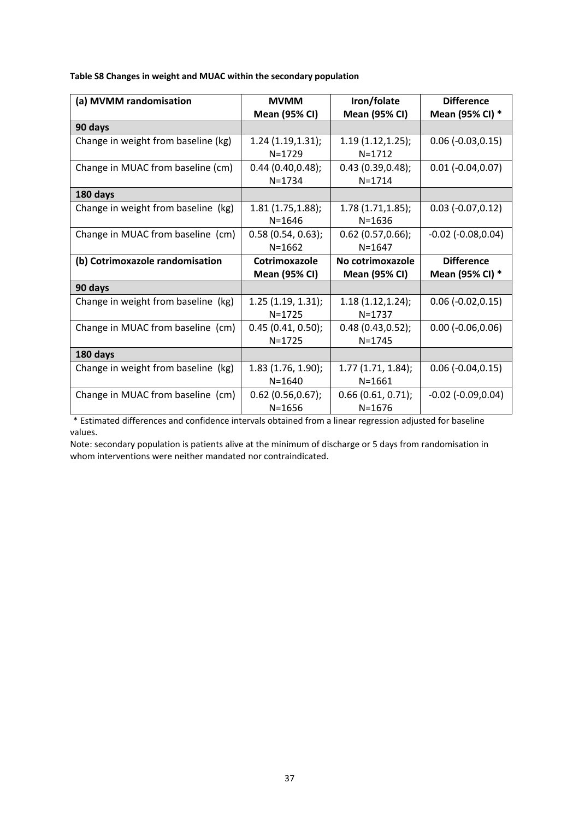**Table S8 Changes in weight and MUAC within the secondary population** 

| (a) MVMM randomisation              | <b>MVMM</b>          | Iron/folate          | <b>Difference</b>         |
|-------------------------------------|----------------------|----------------------|---------------------------|
|                                     | <b>Mean (95% CI)</b> | <b>Mean (95% CI)</b> | Mean (95% CI) *           |
| 90 days                             |                      |                      |                           |
| Change in weight from baseline (kg) | 1.24(1.19, 1.31);    | 1.19(1.12, 1.25);    | $0.06$ ( $-0.03, 0.15$ )  |
|                                     | $N = 1729$           | $N = 1712$           |                           |
| Change in MUAC from baseline (cm)   | 0.44(0.40, 0.48);    | 0.43(0.39, 0.48);    | $0.01$ ( $-0.04, 0.07$ )  |
|                                     | $N = 1734$           | $N = 1714$           |                           |
| 180 days                            |                      |                      |                           |
| Change in weight from baseline (kg) | 1.81(1.75, 1.88);    | 1.78(1.71, 1.85);    | $0.03$ ( $-0.07,0.12$ )   |
|                                     | $N = 1646$           | $N = 1636$           |                           |
| Change in MUAC from baseline (cm)   | 0.58(0.54, 0.63);    | $0.62$ (0.57,0.66);  | $-0.02$ ( $-0.08, 0.04$ ) |
|                                     | $N = 1662$           | $N = 1647$           |                           |
| (b) Cotrimoxazole randomisation     | Cotrimoxazole        | No cotrimoxazole     | <b>Difference</b>         |
|                                     | <b>Mean (95% CI)</b> | <b>Mean (95% CI)</b> | Mean (95% CI) *           |
| 90 days                             |                      |                      |                           |
| Change in weight from baseline (kg) | 1.25(1.19, 1.31);    | 1.18(1.12, 1.24);    | $0.06$ ( $-0.02, 0.15$ )  |
|                                     | $N = 1725$           | $N = 1737$           |                           |
| Change in MUAC from baseline (cm)   | 0.45(0.41, 0.50);    | 0.48(0.43, 0.52);    | $0.00$ ( $-0.06, 0.06$ )  |
|                                     | $N = 1725$           | $N = 1745$           |                           |
| 180 days                            |                      |                      |                           |
| Change in weight from baseline (kg) | $1.83$ (1.76, 1.90); | 1.77(1.71, 1.84);    | $0.06$ ( $-0.04, 0.15$ )  |
|                                     | $N = 1640$           | $N = 1661$           |                           |
| Change in MUAC from baseline (cm)   | 0.62(0.56, 0.67);    | 0.66(0.61, 0.71);    | $-0.02$ ( $-0.09, 0.04$ ) |
|                                     | $N = 1656$           | $N = 1676$           |                           |

\* Estimated differences and confidence intervals obtained from a linear regression adjusted for baseline values.

Note: secondary population is patients alive at the minimum of discharge or 5 days from randomisation in whom interventions were neither mandated nor contraindicated.